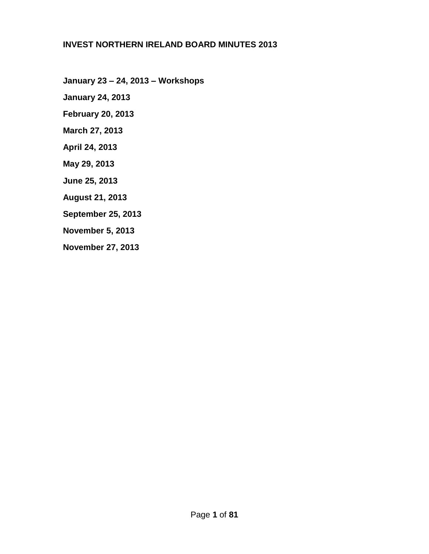#### **INVEST NORTHERN IRELAND BOARD MINUTES 2013**

**January 23 – 24, 2013 – Workshops**

**January 24, 2013**

**February 20, 2013**

**March 27, 2013**

**April 24, 2013**

**May 29, 2013**

**June 25, 2013**

**August 21, 2013**

**September 25, 2013**

**November 5, 2013**

**November 27, 2013**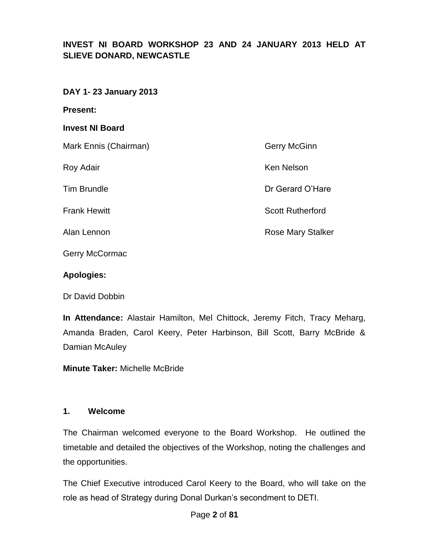## **INVEST NI BOARD WORKSHOP 23 AND 24 JANUARY 2013 HELD AT SLIEVE DONARD, NEWCASTLE**

#### **DAY 1- 23 January 2013**

**Present:**

#### **Invest NI Board**

Mark Ennis (Chairman) Gerry McGinn

Roy Adair **Ken Nelson Ken Nelson** 

Tim Brundle **Dr Gerard O'Hare** 

**Frank Hewitt** Scott Rutherford

Alan Lennon **Rose Mary Stalker** 

Gerry McCormac

#### **Apologies:**

Dr David Dobbin

**In Attendance:** Alastair Hamilton, Mel Chittock, Jeremy Fitch, Tracy Meharg, Amanda Braden, Carol Keery, Peter Harbinson, Bill Scott, Barry McBride & Damian McAuley

**Minute Taker:** Michelle McBride

#### **1. Welcome**

The Chairman welcomed everyone to the Board Workshop. He outlined the timetable and detailed the objectives of the Workshop, noting the challenges and the opportunities.

The Chief Executive introduced Carol Keery to the Board, who will take on the role as head of Strategy during Donal Durkan's secondment to DETI.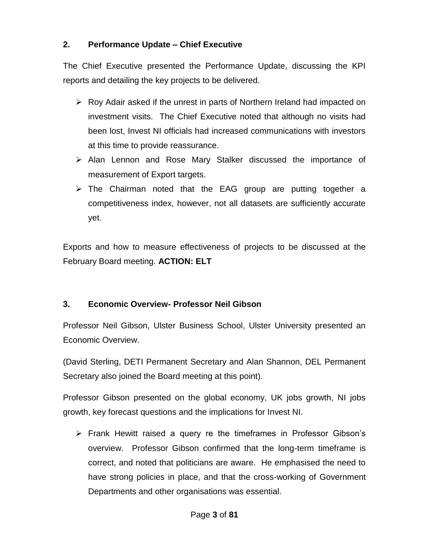## **2. Performance Update – Chief Executive**

The Chief Executive presented the Performance Update, discussing the KPI reports and detailing the key projects to be delivered.

- $\triangleright$  Roy Adair asked if the unrest in parts of Northern Ireland had impacted on investment visits. The Chief Executive noted that although no visits had been lost, Invest NI officials had increased communications with investors at this time to provide reassurance.
- $\triangleright$  Alan Lennon and Rose Mary Stalker discussed the importance of measurement of Export targets.
- $\triangleright$  The Chairman noted that the EAG group are putting together a competitiveness index, however, not all datasets are sufficiently accurate yet.

Exports and how to measure effectiveness of projects to be discussed at the February Board meeting. **ACTION: ELT**

## **3. Economic Overview- Professor Neil Gibson**

Professor Neil Gibson, Ulster Business School, Ulster University presented an Economic Overview.

(David Sterling, DETI Permanent Secretary and Alan Shannon, DEL Permanent Secretary also joined the Board meeting at this point).

Professor Gibson presented on the global economy, UK jobs growth, NI jobs growth, key forecast questions and the implications for Invest NI.

 $\triangleright$  Frank Hewitt raised a query re the timeframes in Professor Gibson's overview. Professor Gibson confirmed that the long-term timeframe is correct, and noted that politicians are aware. He emphasised the need to have strong policies in place, and that the cross-working of Government Departments and other organisations was essential.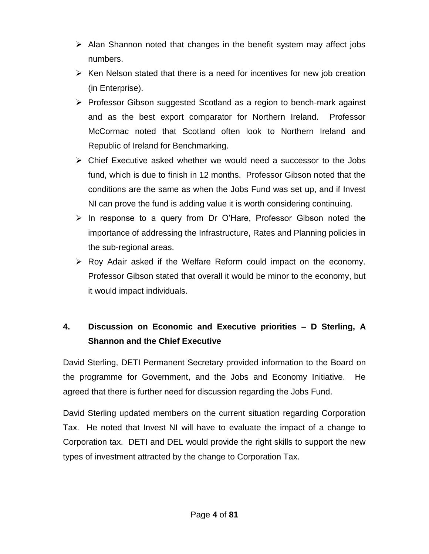- $\triangleright$  Alan Shannon noted that changes in the benefit system may affect jobs numbers.
- $\triangleright$  Ken Nelson stated that there is a need for incentives for new job creation (in Enterprise).
- $\triangleright$  Professor Gibson suggested Scotland as a region to bench-mark against and as the best export comparator for Northern Ireland. Professor McCormac noted that Scotland often look to Northern Ireland and Republic of Ireland for Benchmarking.
- $\triangleright$  Chief Executive asked whether we would need a successor to the Jobs fund, which is due to finish in 12 months. Professor Gibson noted that the conditions are the same as when the Jobs Fund was set up, and if Invest NI can prove the fund is adding value it is worth considering continuing.
- $\triangleright$  In response to a query from Dr O'Hare, Professor Gibson noted the importance of addressing the Infrastructure, Rates and Planning policies in the sub-regional areas.
- $\triangleright$  Roy Adair asked if the Welfare Reform could impact on the economy. Professor Gibson stated that overall it would be minor to the economy, but it would impact individuals.

# **4. Discussion on Economic and Executive priorities – D Sterling, A Shannon and the Chief Executive**

David Sterling, DETI Permanent Secretary provided information to the Board on the programme for Government, and the Jobs and Economy Initiative. He agreed that there is further need for discussion regarding the Jobs Fund.

David Sterling updated members on the current situation regarding Corporation Tax. He noted that Invest NI will have to evaluate the impact of a change to Corporation tax. DETI and DEL would provide the right skills to support the new types of investment attracted by the change to Corporation Tax.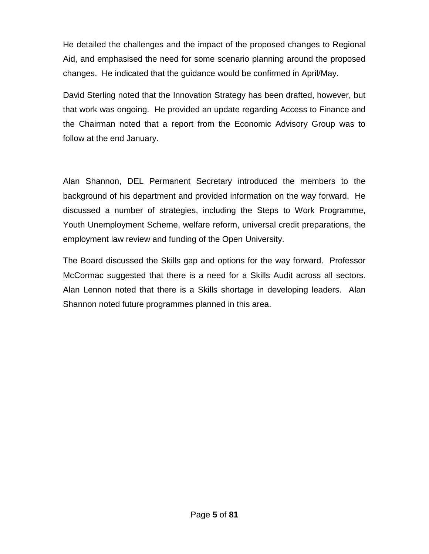He detailed the challenges and the impact of the proposed changes to Regional Aid, and emphasised the need for some scenario planning around the proposed changes. He indicated that the guidance would be confirmed in April/May.

David Sterling noted that the Innovation Strategy has been drafted, however, but that work was ongoing. He provided an update regarding Access to Finance and the Chairman noted that a report from the Economic Advisory Group was to follow at the end January.

Alan Shannon, DEL Permanent Secretary introduced the members to the background of his department and provided information on the way forward. He discussed a number of strategies, including the Steps to Work Programme, Youth Unemployment Scheme, welfare reform, universal credit preparations, the employment law review and funding of the Open University.

The Board discussed the Skills gap and options for the way forward. Professor McCormac suggested that there is a need for a Skills Audit across all sectors. Alan Lennon noted that there is a Skills shortage in developing leaders. Alan Shannon noted future programmes planned in this area.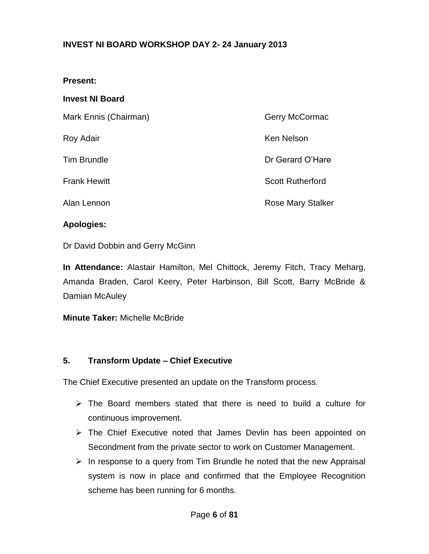### **INVEST NI BOARD WORKSHOP DAY 2- 24 January 2013**

#### **Present:**

#### **Invest NI Board**

| Mark Ennis (Chairman) | <b>Gerry McCormac</b>    |
|-----------------------|--------------------------|
| Roy Adair             | <b>Ken Nelson</b>        |
| <b>Tim Brundle</b>    | Dr Gerard O'Hare         |
| <b>Frank Hewitt</b>   | <b>Scott Rutherford</b>  |
| Alan Lennon           | <b>Rose Mary Stalker</b> |

#### **Apologies:**

Dr David Dobbin and Gerry McGinn

**In Attendance:** Alastair Hamilton, Mel Chittock, Jeremy Fitch, Tracy Meharg, Amanda Braden, Carol Keery, Peter Harbinson, Bill Scott, Barry McBride & Damian McAuley

**Minute Taker:** Michelle McBride

#### **5. Transform Update – Chief Executive**

The Chief Executive presented an update on the Transform process.

- $\triangleright$  The Board members stated that there is need to build a culture for continuous improvement.
- > The Chief Executive noted that James Devlin has been appointed on Secondment from the private sector to work on Customer Management.
- $\triangleright$  In response to a query from Tim Brundle he noted that the new Appraisal system is now in place and confirmed that the Employee Recognition scheme has been running for 6 months.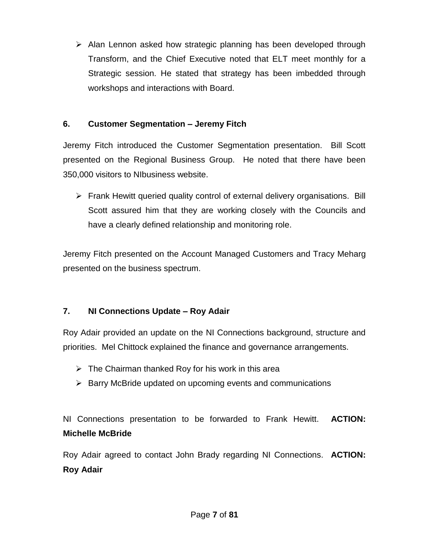$\triangleright$  Alan Lennon asked how strategic planning has been developed through Transform, and the Chief Executive noted that ELT meet monthly for a Strategic session. He stated that strategy has been imbedded through workshops and interactions with Board.

## **6. Customer Segmentation – Jeremy Fitch**

Jeremy Fitch introduced the Customer Segmentation presentation. Bill Scott presented on the Regional Business Group. He noted that there have been 350,000 visitors to NIbusiness website.

 Frank Hewitt queried quality control of external delivery organisations. Bill Scott assured him that they are working closely with the Councils and have a clearly defined relationship and monitoring role.

Jeremy Fitch presented on the Account Managed Customers and Tracy Meharg presented on the business spectrum.

## **7. NI Connections Update – Roy Adair**

Roy Adair provided an update on the NI Connections background, structure and priorities. Mel Chittock explained the finance and governance arrangements.

- $\triangleright$  The Chairman thanked Roy for his work in this area
- $\triangleright$  Barry McBride updated on upcoming events and communications

NI Connections presentation to be forwarded to Frank Hewitt. **ACTION: Michelle McBride**

Roy Adair agreed to contact John Brady regarding NI Connections. **ACTION: Roy Adair**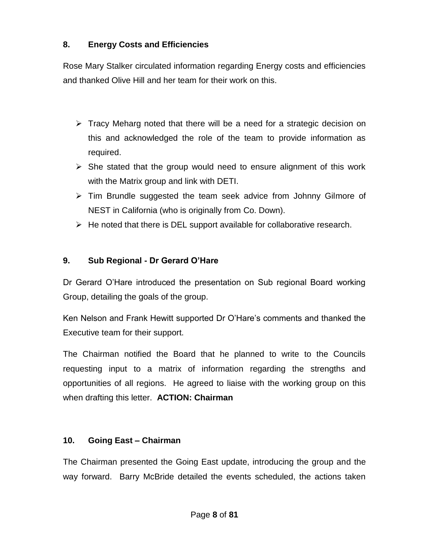## **8. Energy Costs and Efficiencies**

Rose Mary Stalker circulated information regarding Energy costs and efficiencies and thanked Olive Hill and her team for their work on this.

- $\triangleright$  Tracy Meharg noted that there will be a need for a strategic decision on this and acknowledged the role of the team to provide information as required.
- $\triangleright$  She stated that the group would need to ensure alignment of this work with the Matrix group and link with DETI.
- $\triangleright$  Tim Brundle suggested the team seek advice from Johnny Gilmore of NEST in California (who is originally from Co. Down).
- $\triangleright$  He noted that there is DEL support available for collaborative research.

## **9. Sub Regional - Dr Gerard O'Hare**

Dr Gerard O'Hare introduced the presentation on Sub regional Board working Group, detailing the goals of the group.

Ken Nelson and Frank Hewitt supported Dr O'Hare's comments and thanked the Executive team for their support.

The Chairman notified the Board that he planned to write to the Councils requesting input to a matrix of information regarding the strengths and opportunities of all regions. He agreed to liaise with the working group on this when drafting this letter. **ACTION: Chairman**

## **10. Going East – Chairman**

The Chairman presented the Going East update, introducing the group and the way forward. Barry McBride detailed the events scheduled, the actions taken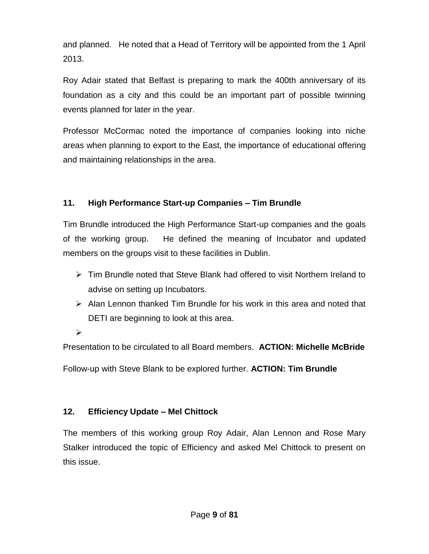and planned. He noted that a Head of Territory will be appointed from the 1 April 2013.

Roy Adair stated that Belfast is preparing to mark the 400th anniversary of its foundation as a city and this could be an important part of possible twinning events planned for later in the year.

Professor McCormac noted the importance of companies looking into niche areas when planning to export to the East, the importance of educational offering and maintaining relationships in the area.

## **11. High Performance Start-up Companies – Tim Brundle**

Tim Brundle introduced the High Performance Start-up companies and the goals of the working group. He defined the meaning of Incubator and updated members on the groups visit to these facilities in Dublin.

- $\triangleright$  Tim Brundle noted that Steve Blank had offered to visit Northern Ireland to advise on setting up Incubators.
- $\triangleright$  Alan Lennon thanked Tim Brundle for his work in this area and noted that DETI are beginning to look at this area.

 $\blacktriangleright$ 

Presentation to be circulated to all Board members. **ACTION: Michelle McBride**

Follow-up with Steve Blank to be explored further. **ACTION: Tim Brundle**

## **12. Efficiency Update – Mel Chittock**

The members of this working group Roy Adair, Alan Lennon and Rose Mary Stalker introduced the topic of Efficiency and asked Mel Chittock to present on this issue.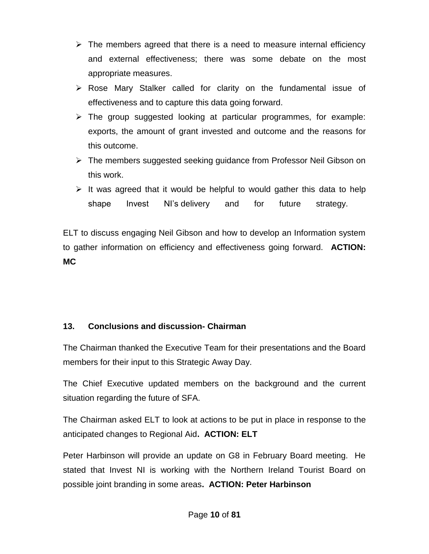- $\triangleright$  The members agreed that there is a need to measure internal efficiency and external effectiveness; there was some debate on the most appropriate measures.
- $\triangleright$  Rose Mary Stalker called for clarity on the fundamental issue of effectiveness and to capture this data going forward.
- $\triangleright$  The group suggested looking at particular programmes, for example: exports, the amount of grant invested and outcome and the reasons for this outcome.
- $\triangleright$  The members suggested seeking guidance from Professor Neil Gibson on this work.
- $\triangleright$  It was agreed that it would be helpful to would gather this data to help shape Invest NI's delivery and for future strategy.

ELT to discuss engaging Neil Gibson and how to develop an Information system to gather information on efficiency and effectiveness going forward. **ACTION: MC**

## **13. Conclusions and discussion- Chairman**

The Chairman thanked the Executive Team for their presentations and the Board members for their input to this Strategic Away Day.

The Chief Executive updated members on the background and the current situation regarding the future of SFA.

The Chairman asked ELT to look at actions to be put in place in response to the anticipated changes to Regional Aid**. ACTION: ELT**

Peter Harbinson will provide an update on G8 in February Board meeting. He stated that Invest NI is working with the Northern Ireland Tourist Board on possible joint branding in some areas**. ACTION: Peter Harbinson**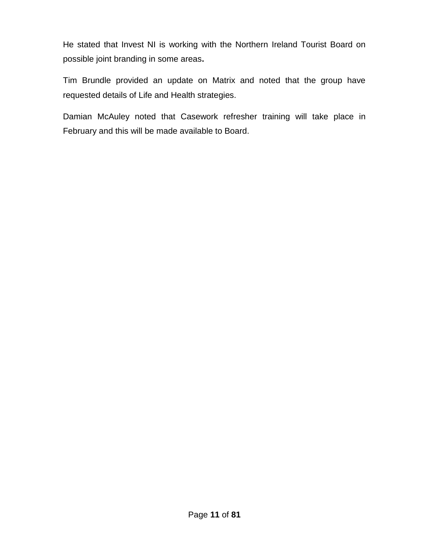He stated that Invest NI is working with the Northern Ireland Tourist Board on possible joint branding in some areas**.**

Tim Brundle provided an update on Matrix and noted that the group have requested details of Life and Health strategies.

Damian McAuley noted that Casework refresher training will take place in February and this will be made available to Board.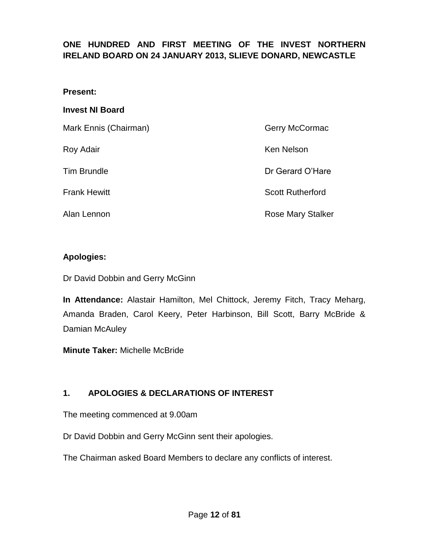## **ONE HUNDRED AND FIRST MEETING OF THE INVEST NORTHERN IRELAND BOARD ON 24 JANUARY 2013, SLIEVE DONARD, NEWCASTLE**

#### **Present:**

#### **Invest NI Board**

| Mark Ennis (Chairman) | Gerry McCormac          |
|-----------------------|-------------------------|
| Roy Adair             | <b>Ken Nelson</b>       |
| <b>Tim Brundle</b>    | Dr Gerard O'Hare        |
| <b>Frank Hewitt</b>   | <b>Scott Rutherford</b> |
| Alan Lennon           | Rose Mary Stalker       |

#### **Apologies:**

Dr David Dobbin and Gerry McGinn

**In Attendance:** Alastair Hamilton, Mel Chittock, Jeremy Fitch, Tracy Meharg, Amanda Braden, Carol Keery, Peter Harbinson, Bill Scott, Barry McBride & Damian McAuley

**Minute Taker:** Michelle McBride

## **1. APOLOGIES & DECLARATIONS OF INTEREST**

The meeting commenced at 9.00am

Dr David Dobbin and Gerry McGinn sent their apologies.

The Chairman asked Board Members to declare any conflicts of interest.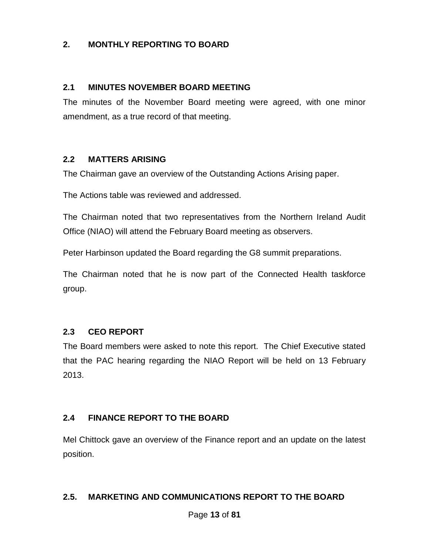### **2. MONTHLY REPORTING TO BOARD**

#### **2.1 MINUTES NOVEMBER BOARD MEETING**

The minutes of the November Board meeting were agreed, with one minor amendment, as a true record of that meeting.

#### **2.2 MATTERS ARISING**

The Chairman gave an overview of the Outstanding Actions Arising paper.

The Actions table was reviewed and addressed.

The Chairman noted that two representatives from the Northern Ireland Audit Office (NIAO) will attend the February Board meeting as observers.

Peter Harbinson updated the Board regarding the G8 summit preparations.

The Chairman noted that he is now part of the Connected Health taskforce group.

#### **2.3 CEO REPORT**

The Board members were asked to note this report. The Chief Executive stated that the PAC hearing regarding the NIAO Report will be held on 13 February 2013.

#### **2.4 FINANCE REPORT TO THE BOARD**

Mel Chittock gave an overview of the Finance report and an update on the latest position.

#### **2.5. MARKETING AND COMMUNICATIONS REPORT TO THE BOARD**

Page **13** of **81**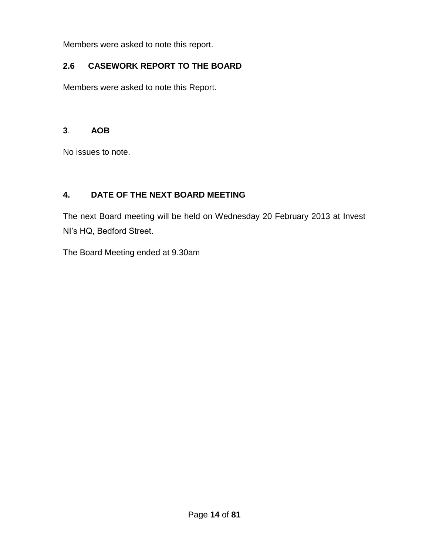Members were asked to note this report.

## **2.6 CASEWORK REPORT TO THE BOARD**

Members were asked to note this Report.

### **3**. **AOB**

No issues to note.

## **4. DATE OF THE NEXT BOARD MEETING**

The next Board meeting will be held on Wednesday 20 February 2013 at Invest NI's HQ, Bedford Street.

The Board Meeting ended at 9.30am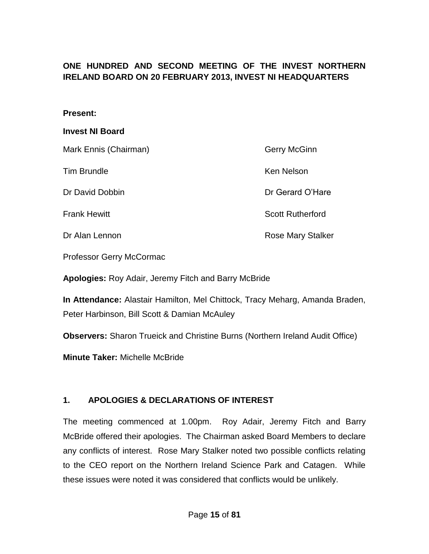## **ONE HUNDRED AND SECOND MEETING OF THE INVEST NORTHERN IRELAND BOARD ON 20 FEBRUARY 2013, INVEST NI HEADQUARTERS**

#### **Present:**

#### **Invest NI Board**

| Mark Ennis (Chairman) | <b>Gerry McGinn</b>      |
|-----------------------|--------------------------|
| <b>Tim Brundle</b>    | Ken Nelson               |
| Dr David Dobbin       | Dr Gerard O'Hare         |
| <b>Frank Hewitt</b>   | <b>Scott Rutherford</b>  |
| Dr Alan Lennon        | <b>Rose Mary Stalker</b> |

Professor Gerry McCormac

**Apologies:** Roy Adair, Jeremy Fitch and Barry McBride

**In Attendance:** Alastair Hamilton, Mel Chittock, Tracy Meharg, Amanda Braden, Peter Harbinson, Bill Scott & Damian McAuley

**Observers:** Sharon Trueick and Christine Burns (Northern Ireland Audit Office)

**Minute Taker:** Michelle McBride

#### **1. APOLOGIES & DECLARATIONS OF INTEREST**

The meeting commenced at 1.00pm. Roy Adair, Jeremy Fitch and Barry McBride offered their apologies. The Chairman asked Board Members to declare any conflicts of interest. Rose Mary Stalker noted two possible conflicts relating to the CEO report on the Northern Ireland Science Park and Catagen. While these issues were noted it was considered that conflicts would be unlikely.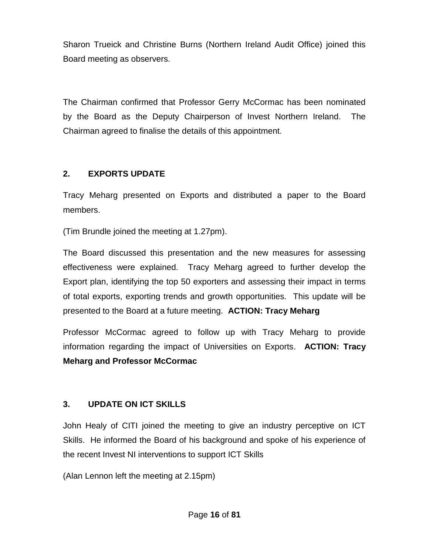Sharon Trueick and Christine Burns (Northern Ireland Audit Office) joined this Board meeting as observers.

The Chairman confirmed that Professor Gerry McCormac has been nominated by the Board as the Deputy Chairperson of Invest Northern Ireland. The Chairman agreed to finalise the details of this appointment.

## **2. EXPORTS UPDATE**

Tracy Meharg presented on Exports and distributed a paper to the Board members.

(Tim Brundle joined the meeting at 1.27pm).

The Board discussed this presentation and the new measures for assessing effectiveness were explained. Tracy Meharg agreed to further develop the Export plan, identifying the top 50 exporters and assessing their impact in terms of total exports, exporting trends and growth opportunities. This update will be presented to the Board at a future meeting. **ACTION: Tracy Meharg**

Professor McCormac agreed to follow up with Tracy Meharg to provide information regarding the impact of Universities on Exports. **ACTION: Tracy Meharg and Professor McCormac**

## **3. UPDATE ON ICT SKILLS**

John Healy of CITI joined the meeting to give an industry perceptive on ICT Skills. He informed the Board of his background and spoke of his experience of the recent Invest NI interventions to support ICT Skills

(Alan Lennon left the meeting at 2.15pm)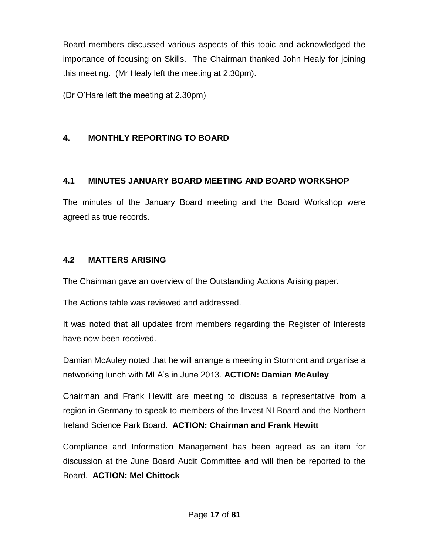Board members discussed various aspects of this topic and acknowledged the importance of focusing on Skills. The Chairman thanked John Healy for joining this meeting. (Mr Healy left the meeting at 2.30pm).

(Dr O'Hare left the meeting at 2.30pm)

## **4. MONTHLY REPORTING TO BOARD**

### **4.1 MINUTES JANUARY BOARD MEETING AND BOARD WORKSHOP**

The minutes of the January Board meeting and the Board Workshop were agreed as true records.

### **4.2 MATTERS ARISING**

The Chairman gave an overview of the Outstanding Actions Arising paper.

The Actions table was reviewed and addressed.

It was noted that all updates from members regarding the Register of Interests have now been received.

Damian McAuley noted that he will arrange a meeting in Stormont and organise a networking lunch with MLA's in June 2013. **ACTION: Damian McAuley**

Chairman and Frank Hewitt are meeting to discuss a representative from a region in Germany to speak to members of the Invest NI Board and the Northern Ireland Science Park Board. **ACTION: Chairman and Frank Hewitt**

Compliance and Information Management has been agreed as an item for discussion at the June Board Audit Committee and will then be reported to the Board. **ACTION: Mel Chittock**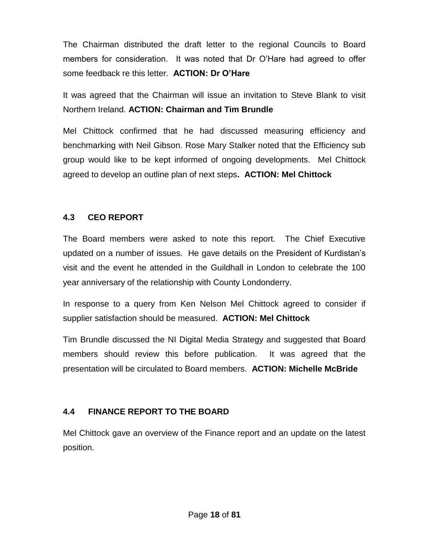The Chairman distributed the draft letter to the regional Councils to Board members for consideration. It was noted that Dr O'Hare had agreed to offer some feedback re this letter. **ACTION: Dr O'Hare**

It was agreed that the Chairman will issue an invitation to Steve Blank to visit Northern Ireland. **ACTION: Chairman and Tim Brundle**

Mel Chittock confirmed that he had discussed measuring efficiency and benchmarking with Neil Gibson. Rose Mary Stalker noted that the Efficiency sub group would like to be kept informed of ongoing developments. Mel Chittock agreed to develop an outline plan of next steps**. ACTION: Mel Chittock**

## **4.3 CEO REPORT**

The Board members were asked to note this report. The Chief Executive updated on a number of issues. He gave details on the President of Kurdistan's visit and the event he attended in the Guildhall in London to celebrate the 100 year anniversary of the relationship with County Londonderry.

In response to a query from Ken Nelson Mel Chittock agreed to consider if supplier satisfaction should be measured. **ACTION: Mel Chittock**

Tim Brundle discussed the NI Digital Media Strategy and suggested that Board members should review this before publication. It was agreed that the presentation will be circulated to Board members. **ACTION: Michelle McBride**

## **4.4 FINANCE REPORT TO THE BOARD**

Mel Chittock gave an overview of the Finance report and an update on the latest position.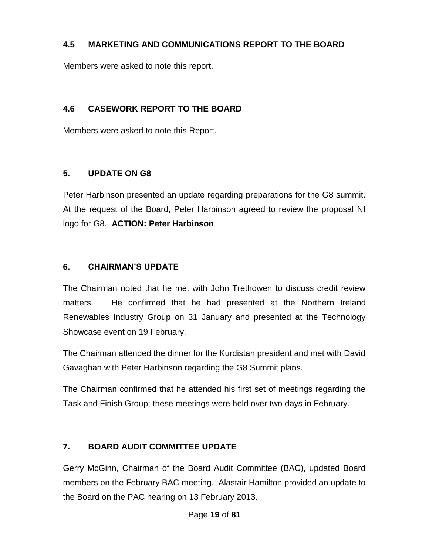### **4.5 MARKETING AND COMMUNICATIONS REPORT TO THE BOARD**

Members were asked to note this report.

### **4.6 CASEWORK REPORT TO THE BOARD**

Members were asked to note this Report.

### **5. UPDATE ON G8**

Peter Harbinson presented an update regarding preparations for the G8 summit. At the request of the Board, Peter Harbinson agreed to review the proposal NI logo for G8. **ACTION: Peter Harbinson**

### **6. CHAIRMAN'S UPDATE**

The Chairman noted that he met with John Trethowen to discuss credit review matters. He confirmed that he had presented at the Northern Ireland Renewables Industry Group on 31 January and presented at the Technology Showcase event on 19 February.

The Chairman attended the dinner for the Kurdistan president and met with David Gavaghan with Peter Harbinson regarding the G8 Summit plans.

The Chairman confirmed that he attended his first set of meetings regarding the Task and Finish Group; these meetings were held over two days in February.

## **7. BOARD AUDIT COMMITTEE UPDATE**

Gerry McGinn, Chairman of the Board Audit Committee (BAC), updated Board members on the February BAC meeting. Alastair Hamilton provided an update to the Board on the PAC hearing on 13 February 2013.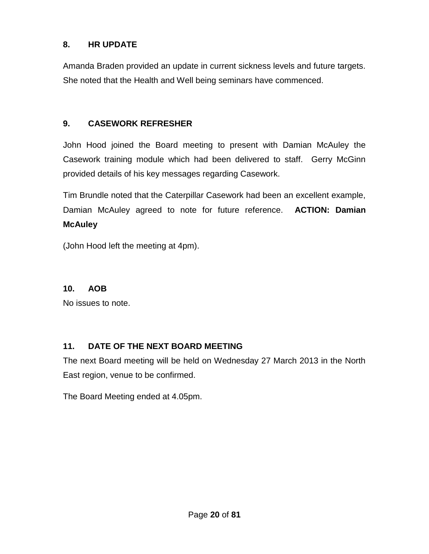### **8. HR UPDATE**

Amanda Braden provided an update in current sickness levels and future targets. She noted that the Health and Well being seminars have commenced.

### **9. CASEWORK REFRESHER**

John Hood joined the Board meeting to present with Damian McAuley the Casework training module which had been delivered to staff. Gerry McGinn provided details of his key messages regarding Casework.

Tim Brundle noted that the Caterpillar Casework had been an excellent example, Damian McAuley agreed to note for future reference. **ACTION: Damian McAuley**

(John Hood left the meeting at 4pm).

#### **10. AOB**

No issues to note.

## **11. DATE OF THE NEXT BOARD MEETING**

The next Board meeting will be held on Wednesday 27 March 2013 in the North East region, venue to be confirmed.

The Board Meeting ended at 4.05pm.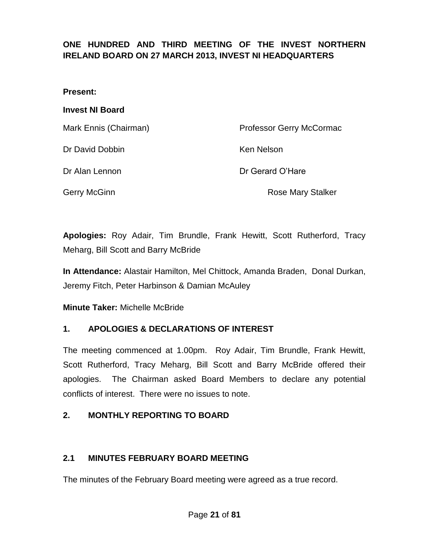## **ONE HUNDRED AND THIRD MEETING OF THE INVEST NORTHERN IRELAND BOARD ON 27 MARCH 2013, INVEST NI HEADQUARTERS**

#### **Present:**

#### **Invest NI Board**

| Mark Ennis (Chairman) | Professor Gerry McCormac |
|-----------------------|--------------------------|
| Dr David Dobbin       | Ken Nelson               |
| Dr Alan Lennon        | Dr Gerard O'Hare         |
| Gerry McGinn          | <b>Rose Mary Stalker</b> |

**Apologies:** Roy Adair, Tim Brundle, Frank Hewitt, Scott Rutherford, Tracy Meharg, Bill Scott and Barry McBride

**In Attendance:** Alastair Hamilton, Mel Chittock, Amanda Braden, Donal Durkan, Jeremy Fitch, Peter Harbinson & Damian McAuley

**Minute Taker:** Michelle McBride

#### **1. APOLOGIES & DECLARATIONS OF INTEREST**

The meeting commenced at 1.00pm. Roy Adair, Tim Brundle, Frank Hewitt, Scott Rutherford, Tracy Meharg, Bill Scott and Barry McBride offered their apologies. The Chairman asked Board Members to declare any potential conflicts of interest. There were no issues to note.

#### **2. MONTHLY REPORTING TO BOARD**

#### **2.1 MINUTES FEBRUARY BOARD MEETING**

The minutes of the February Board meeting were agreed as a true record.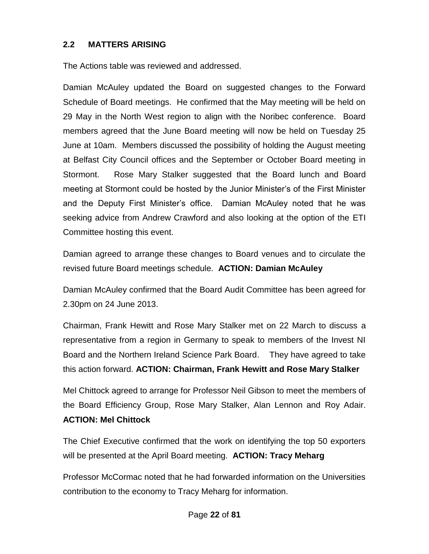#### **2.2 MATTERS ARISING**

The Actions table was reviewed and addressed.

Damian McAuley updated the Board on suggested changes to the Forward Schedule of Board meetings. He confirmed that the May meeting will be held on 29 May in the North West region to align with the Noribec conference. Board members agreed that the June Board meeting will now be held on Tuesday 25 June at 10am. Members discussed the possibility of holding the August meeting at Belfast City Council offices and the September or October Board meeting in Stormont. Rose Mary Stalker suggested that the Board lunch and Board meeting at Stormont could be hosted by the Junior Minister's of the First Minister and the Deputy First Minister's office. Damian McAuley noted that he was seeking advice from Andrew Crawford and also looking at the option of the ETI Committee hosting this event.

Damian agreed to arrange these changes to Board venues and to circulate the revised future Board meetings schedule. **ACTION: Damian McAuley**

Damian McAuley confirmed that the Board Audit Committee has been agreed for 2.30pm on 24 June 2013.

Chairman, Frank Hewitt and Rose Mary Stalker met on 22 March to discuss a representative from a region in Germany to speak to members of the Invest NI Board and the Northern Ireland Science Park Board. They have agreed to take this action forward. **ACTION: Chairman, Frank Hewitt and Rose Mary Stalker**

Mel Chittock agreed to arrange for Professor Neil Gibson to meet the members of the Board Efficiency Group, Rose Mary Stalker, Alan Lennon and Roy Adair. **ACTION: Mel Chittock**

The Chief Executive confirmed that the work on identifying the top 50 exporters will be presented at the April Board meeting. **ACTION: Tracy Meharg**

Professor McCormac noted that he had forwarded information on the Universities contribution to the economy to Tracy Meharg for information.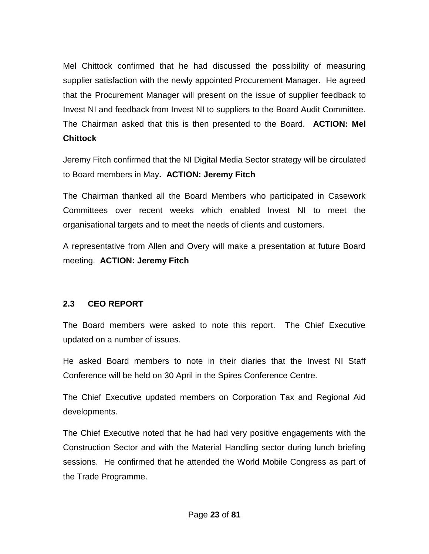Mel Chittock confirmed that he had discussed the possibility of measuring supplier satisfaction with the newly appointed Procurement Manager. He agreed that the Procurement Manager will present on the issue of supplier feedback to Invest NI and feedback from Invest NI to suppliers to the Board Audit Committee. The Chairman asked that this is then presented to the Board. **ACTION: Mel Chittock**

Jeremy Fitch confirmed that the NI Digital Media Sector strategy will be circulated to Board members in May**. ACTION: Jeremy Fitch**

The Chairman thanked all the Board Members who participated in Casework Committees over recent weeks which enabled Invest NI to meet the organisational targets and to meet the needs of clients and customers.

A representative from Allen and Overy will make a presentation at future Board meeting. **ACTION: Jeremy Fitch**

## **2.3 CEO REPORT**

The Board members were asked to note this report. The Chief Executive updated on a number of issues.

He asked Board members to note in their diaries that the Invest NI Staff Conference will be held on 30 April in the Spires Conference Centre.

The Chief Executive updated members on Corporation Tax and Regional Aid developments.

The Chief Executive noted that he had had very positive engagements with the Construction Sector and with the Material Handling sector during lunch briefing sessions. He confirmed that he attended the World Mobile Congress as part of the Trade Programme.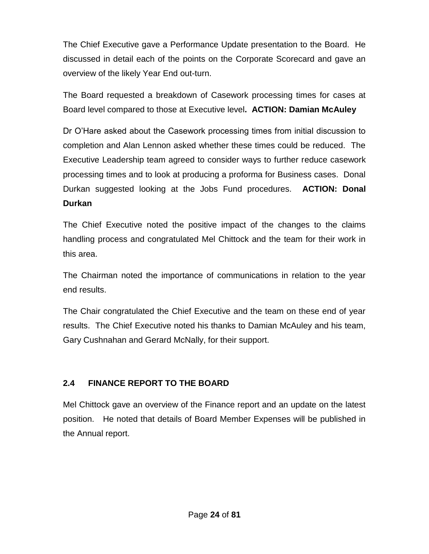The Chief Executive gave a Performance Update presentation to the Board. He discussed in detail each of the points on the Corporate Scorecard and gave an overview of the likely Year End out-turn.

The Board requested a breakdown of Casework processing times for cases at Board level compared to those at Executive level**. ACTION: Damian McAuley**

Dr O'Hare asked about the Casework processing times from initial discussion to completion and Alan Lennon asked whether these times could be reduced. The Executive Leadership team agreed to consider ways to further reduce casework processing times and to look at producing a proforma for Business cases. Donal Durkan suggested looking at the Jobs Fund procedures. **ACTION: Donal Durkan**

The Chief Executive noted the positive impact of the changes to the claims handling process and congratulated Mel Chittock and the team for their work in this area.

The Chairman noted the importance of communications in relation to the year end results.

The Chair congratulated the Chief Executive and the team on these end of year results. The Chief Executive noted his thanks to Damian McAuley and his team, Gary Cushnahan and Gerard McNally, for their support.

## **2.4 FINANCE REPORT TO THE BOARD**

Mel Chittock gave an overview of the Finance report and an update on the latest position. He noted that details of Board Member Expenses will be published in the Annual report.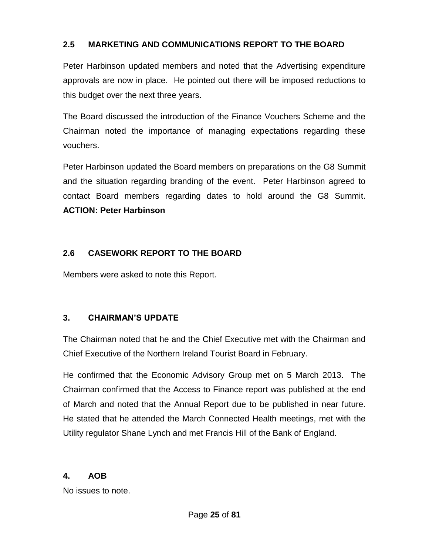### **2.5 MARKETING AND COMMUNICATIONS REPORT TO THE BOARD**

Peter Harbinson updated members and noted that the Advertising expenditure approvals are now in place. He pointed out there will be imposed reductions to this budget over the next three years.

The Board discussed the introduction of the Finance Vouchers Scheme and the Chairman noted the importance of managing expectations regarding these vouchers.

Peter Harbinson updated the Board members on preparations on the G8 Summit and the situation regarding branding of the event. Peter Harbinson agreed to contact Board members regarding dates to hold around the G8 Summit. **ACTION: Peter Harbinson**

### **2.6 CASEWORK REPORT TO THE BOARD**

Members were asked to note this Report.

## **3. CHAIRMAN'S UPDATE**

The Chairman noted that he and the Chief Executive met with the Chairman and Chief Executive of the Northern Ireland Tourist Board in February.

He confirmed that the Economic Advisory Group met on 5 March 2013. The Chairman confirmed that the Access to Finance report was published at the end of March and noted that the Annual Report due to be published in near future. He stated that he attended the March Connected Health meetings, met with the Utility regulator Shane Lynch and met Francis Hill of the Bank of England.

#### **4. AOB**

No issues to note.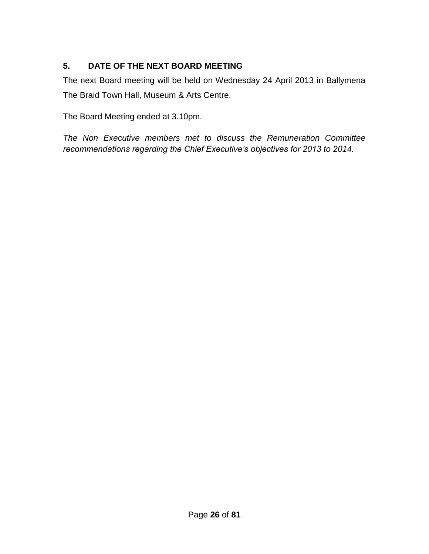## **5. DATE OF THE NEXT BOARD MEETING**

The next Board meeting will be held on Wednesday 24 April 2013 in Ballymena The Braid Town Hall, Museum & Arts Centre.

The Board Meeting ended at 3.10pm.

*The Non Executive members met to discuss the Remuneration Committee recommendations regarding the Chief Executive's objectives for 2013 to 2014.*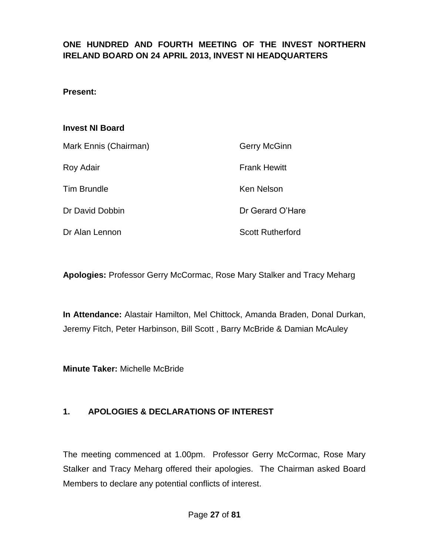## **ONE HUNDRED AND FOURTH MEETING OF THE INVEST NORTHERN IRELAND BOARD ON 24 APRIL 2013, INVEST NI HEADQUARTERS**

#### **Present:**

#### **Invest NI Board**

| Mark Ennis (Chairman) | Gerry McGinn            |
|-----------------------|-------------------------|
| Roy Adair             | <b>Frank Hewitt</b>     |
| <b>Tim Brundle</b>    | <b>Ken Nelson</b>       |
| Dr David Dobbin       | Dr Gerard O'Hare        |
| Dr Alan Lennon        | <b>Scott Rutherford</b> |

**Apologies:** Professor Gerry McCormac, Rose Mary Stalker and Tracy Meharg

**In Attendance:** Alastair Hamilton, Mel Chittock, Amanda Braden, Donal Durkan, Jeremy Fitch, Peter Harbinson, Bill Scott , Barry McBride & Damian McAuley

**Minute Taker:** Michelle McBride

#### **1. APOLOGIES & DECLARATIONS OF INTEREST**

The meeting commenced at 1.00pm. Professor Gerry McCormac, Rose Mary Stalker and Tracy Meharg offered their apologies. The Chairman asked Board Members to declare any potential conflicts of interest.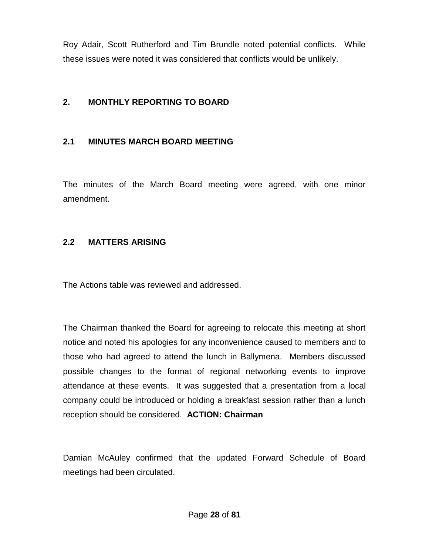Roy Adair, Scott Rutherford and Tim Brundle noted potential conflicts. While these issues were noted it was considered that conflicts would be unlikely.

### **2. MONTHLY REPORTING TO BOARD**

### **2.1 MINUTES MARCH BOARD MEETING**

The minutes of the March Board meeting were agreed, with one minor amendment.

#### **2.2 MATTERS ARISING**

The Actions table was reviewed and addressed.

The Chairman thanked the Board for agreeing to relocate this meeting at short notice and noted his apologies for any inconvenience caused to members and to those who had agreed to attend the lunch in Ballymena. Members discussed possible changes to the format of regional networking events to improve attendance at these events. It was suggested that a presentation from a local company could be introduced or holding a breakfast session rather than a lunch reception should be considered. **ACTION: Chairman**

Damian McAuley confirmed that the updated Forward Schedule of Board meetings had been circulated.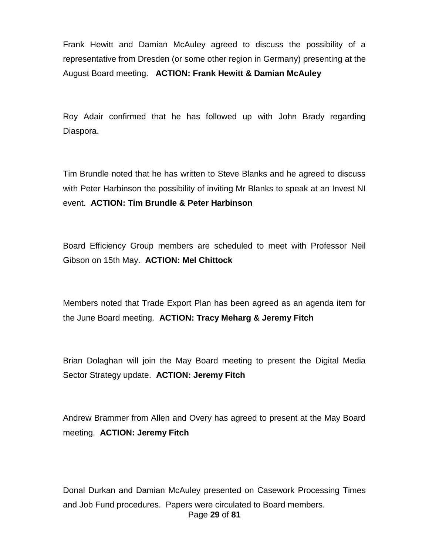Frank Hewitt and Damian McAuley agreed to discuss the possibility of a representative from Dresden (or some other region in Germany) presenting at the August Board meeting. **ACTION: Frank Hewitt & Damian McAuley**

Roy Adair confirmed that he has followed up with John Brady regarding Diaspora.

Tim Brundle noted that he has written to Steve Blanks and he agreed to discuss with Peter Harbinson the possibility of inviting Mr Blanks to speak at an Invest NI event. **ACTION: Tim Brundle & Peter Harbinson**

Board Efficiency Group members are scheduled to meet with Professor Neil Gibson on 15th May. **ACTION: Mel Chittock**

Members noted that Trade Export Plan has been agreed as an agenda item for the June Board meeting. **ACTION: Tracy Meharg & Jeremy Fitch** 

Brian Dolaghan will join the May Board meeting to present the Digital Media Sector Strategy update. **ACTION: Jeremy Fitch**

Andrew Brammer from Allen and Overy has agreed to present at the May Board meeting. **ACTION: Jeremy Fitch**

Page **29** of **81** Donal Durkan and Damian McAuley presented on Casework Processing Times and Job Fund procedures. Papers were circulated to Board members.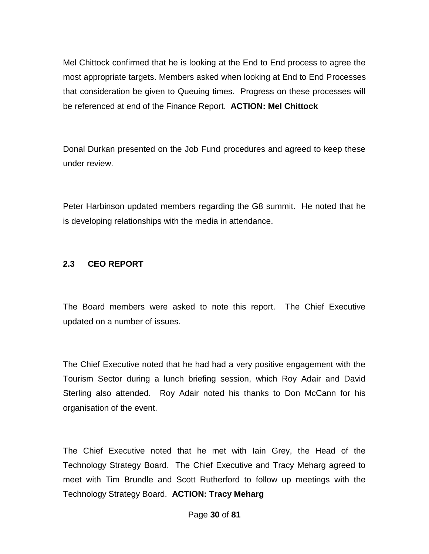Mel Chittock confirmed that he is looking at the End to End process to agree the most appropriate targets. Members asked when looking at End to End Processes that consideration be given to Queuing times. Progress on these processes will be referenced at end of the Finance Report. **ACTION: Mel Chittock** 

Donal Durkan presented on the Job Fund procedures and agreed to keep these under review.

Peter Harbinson updated members regarding the G8 summit. He noted that he is developing relationships with the media in attendance.

### **2.3 CEO REPORT**

The Board members were asked to note this report. The Chief Executive updated on a number of issues.

The Chief Executive noted that he had had a very positive engagement with the Tourism Sector during a lunch briefing session, which Roy Adair and David Sterling also attended. Roy Adair noted his thanks to Don McCann for his organisation of the event.

The Chief Executive noted that he met with Iain Grey, the Head of the Technology Strategy Board. The Chief Executive and Tracy Meharg agreed to meet with Tim Brundle and Scott Rutherford to follow up meetings with the Technology Strategy Board. **ACTION: Tracy Meharg**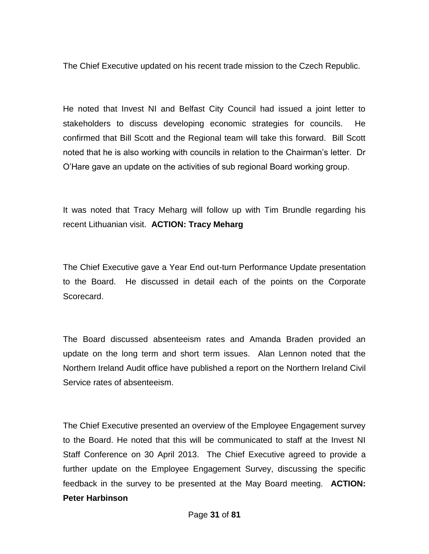The Chief Executive updated on his recent trade mission to the Czech Republic.

He noted that Invest NI and Belfast City Council had issued a joint letter to stakeholders to discuss developing economic strategies for councils. He confirmed that Bill Scott and the Regional team will take this forward. Bill Scott noted that he is also working with councils in relation to the Chairman's letter. Dr O'Hare gave an update on the activities of sub regional Board working group.

It was noted that Tracy Meharg will follow up with Tim Brundle regarding his recent Lithuanian visit. **ACTION: Tracy Meharg** 

The Chief Executive gave a Year End out-turn Performance Update presentation to the Board. He discussed in detail each of the points on the Corporate Scorecard.

The Board discussed absenteeism rates and Amanda Braden provided an update on the long term and short term issues. Alan Lennon noted that the Northern Ireland Audit office have published a report on the Northern Ireland Civil Service rates of absenteeism.

The Chief Executive presented an overview of the Employee Engagement survey to the Board. He noted that this will be communicated to staff at the Invest NI Staff Conference on 30 April 2013. The Chief Executive agreed to provide a further update on the Employee Engagement Survey, discussing the specific feedback in the survey to be presented at the May Board meeting. **ACTION: Peter Harbinson**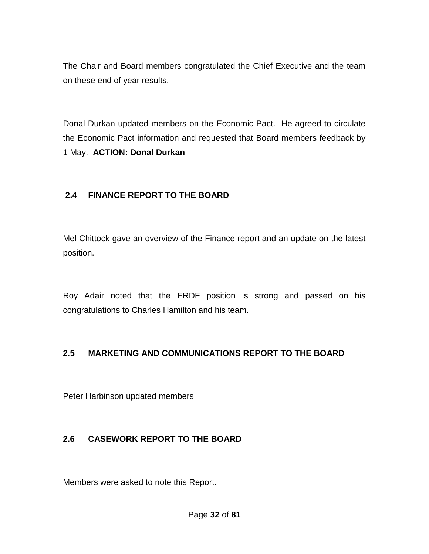The Chair and Board members congratulated the Chief Executive and the team on these end of year results.

Donal Durkan updated members on the Economic Pact. He agreed to circulate the Economic Pact information and requested that Board members feedback by 1 May. **ACTION: Donal Durkan**

### **2.4 FINANCE REPORT TO THE BOARD**

Mel Chittock gave an overview of the Finance report and an update on the latest position.

Roy Adair noted that the ERDF position is strong and passed on his congratulations to Charles Hamilton and his team.

## **2.5 MARKETING AND COMMUNICATIONS REPORT TO THE BOARD**

Peter Harbinson updated members

#### **2.6 CASEWORK REPORT TO THE BOARD**

Members were asked to note this Report.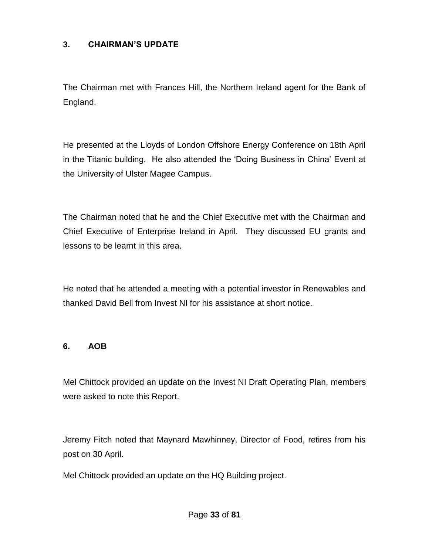### **3. CHAIRMAN'S UPDATE**

The Chairman met with Frances Hill, the Northern Ireland agent for the Bank of England.

He presented at the Lloyds of London Offshore Energy Conference on 18th April in the Titanic building. He also attended the 'Doing Business in China' Event at the University of Ulster Magee Campus.

The Chairman noted that he and the Chief Executive met with the Chairman and Chief Executive of Enterprise Ireland in April. They discussed EU grants and lessons to be learnt in this area.

He noted that he attended a meeting with a potential investor in Renewables and thanked David Bell from Invest NI for his assistance at short notice.

#### **6. AOB**

Mel Chittock provided an update on the Invest NI Draft Operating Plan, members were asked to note this Report.

Jeremy Fitch noted that Maynard Mawhinney, Director of Food, retires from his post on 30 April.

Mel Chittock provided an update on the HQ Building project.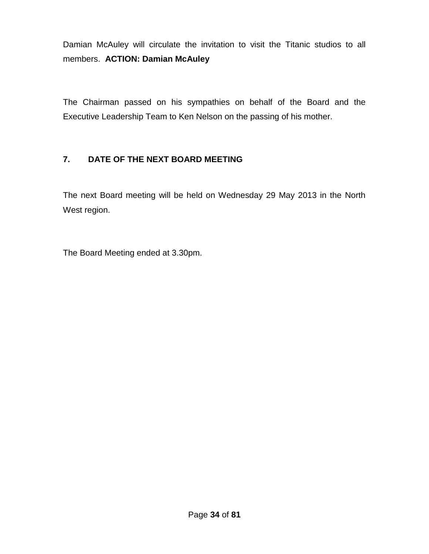Damian McAuley will circulate the invitation to visit the Titanic studios to all members. **ACTION: Damian McAuley** 

The Chairman passed on his sympathies on behalf of the Board and the Executive Leadership Team to Ken Nelson on the passing of his mother.

## **7. DATE OF THE NEXT BOARD MEETING**

The next Board meeting will be held on Wednesday 29 May 2013 in the North West region.

The Board Meeting ended at 3.30pm.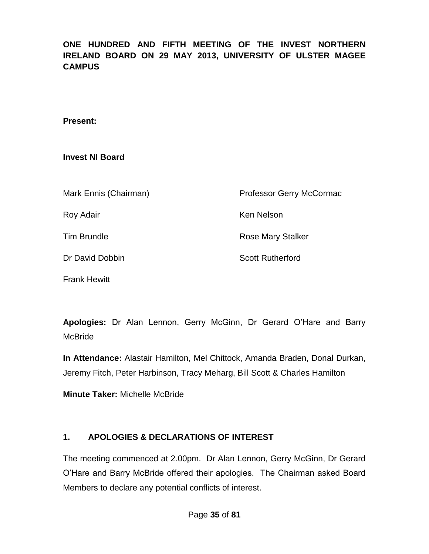## **ONE HUNDRED AND FIFTH MEETING OF THE INVEST NORTHERN IRELAND BOARD ON 29 MAY 2013, UNIVERSITY OF ULSTER MAGEE CAMPUS**

#### **Present:**

#### **Invest NI Board**

Frank Hewitt

| Mark Ennis (Chairman) | Professor Gerry McCormac |
|-----------------------|--------------------------|
| Roy Adair             | Ken Nelson               |
| <b>Tim Brundle</b>    | <b>Rose Mary Stalker</b> |
| Dr David Dobbin       | <b>Scott Rutherford</b>  |
|                       |                          |

**Apologies:** Dr Alan Lennon, Gerry McGinn, Dr Gerard O'Hare and Barry McBride

**In Attendance:** Alastair Hamilton, Mel Chittock, Amanda Braden, Donal Durkan, Jeremy Fitch, Peter Harbinson, Tracy Meharg, Bill Scott & Charles Hamilton

**Minute Taker:** Michelle McBride

## **1. APOLOGIES & DECLARATIONS OF INTEREST**

The meeting commenced at 2.00pm. Dr Alan Lennon, Gerry McGinn, Dr Gerard O'Hare and Barry McBride offered their apologies. The Chairman asked Board Members to declare any potential conflicts of interest.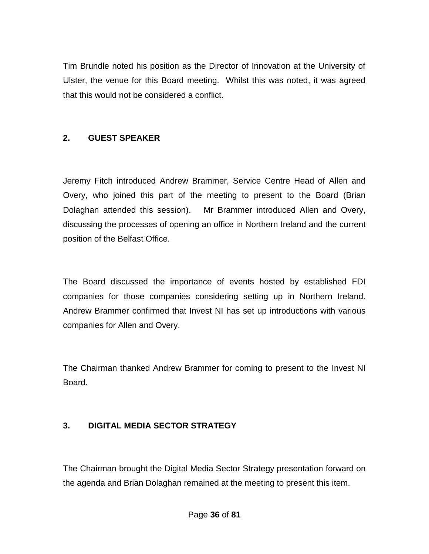Tim Brundle noted his position as the Director of Innovation at the University of Ulster, the venue for this Board meeting. Whilst this was noted, it was agreed that this would not be considered a conflict.

## **2. GUEST SPEAKER**

Jeremy Fitch introduced Andrew Brammer, Service Centre Head of Allen and Overy, who joined this part of the meeting to present to the Board (Brian Dolaghan attended this session). Mr Brammer introduced Allen and Overy, discussing the processes of opening an office in Northern Ireland and the current position of the Belfast Office.

The Board discussed the importance of events hosted by established FDI companies for those companies considering setting up in Northern Ireland. Andrew Brammer confirmed that Invest NI has set up introductions with various companies for Allen and Overy.

The Chairman thanked Andrew Brammer for coming to present to the Invest NI Board.

## **3. DIGITAL MEDIA SECTOR STRATEGY**

The Chairman brought the Digital Media Sector Strategy presentation forward on the agenda and Brian Dolaghan remained at the meeting to present this item.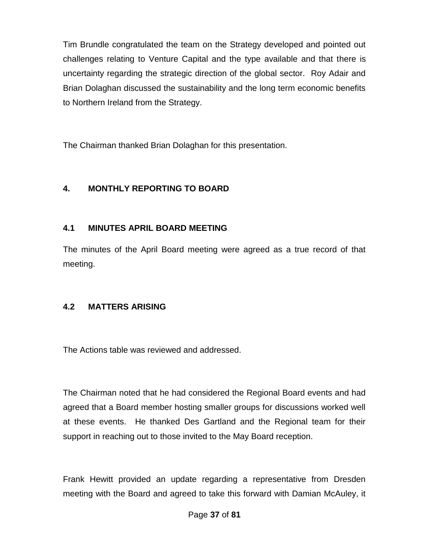Tim Brundle congratulated the team on the Strategy developed and pointed out challenges relating to Venture Capital and the type available and that there is uncertainty regarding the strategic direction of the global sector. Roy Adair and Brian Dolaghan discussed the sustainability and the long term economic benefits to Northern Ireland from the Strategy.

The Chairman thanked Brian Dolaghan for this presentation.

## **4. MONTHLY REPORTING TO BOARD**

## **4.1 MINUTES APRIL BOARD MEETING**

The minutes of the April Board meeting were agreed as a true record of that meeting.

#### **4.2 MATTERS ARISING**

The Actions table was reviewed and addressed.

The Chairman noted that he had considered the Regional Board events and had agreed that a Board member hosting smaller groups for discussions worked well at these events. He thanked Des Gartland and the Regional team for their support in reaching out to those invited to the May Board reception.

Frank Hewitt provided an update regarding a representative from Dresden meeting with the Board and agreed to take this forward with Damian McAuley, it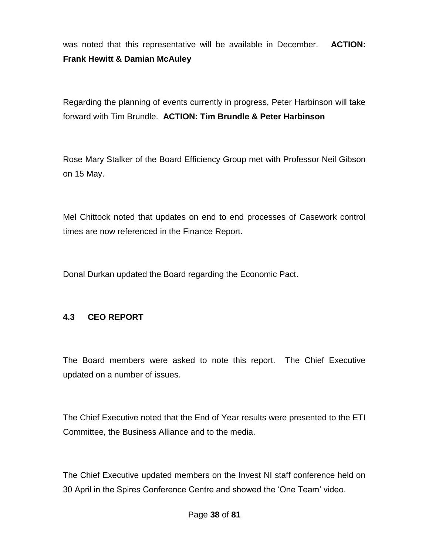was noted that this representative will be available in December. **ACTION: Frank Hewitt & Damian McAuley**

Regarding the planning of events currently in progress, Peter Harbinson will take forward with Tim Brundle. **ACTION: Tim Brundle & Peter Harbinson**

Rose Mary Stalker of the Board Efficiency Group met with Professor Neil Gibson on 15 May.

Mel Chittock noted that updates on end to end processes of Casework control times are now referenced in the Finance Report.

Donal Durkan updated the Board regarding the Economic Pact.

#### **4.3 CEO REPORT**

The Board members were asked to note this report. The Chief Executive updated on a number of issues.

The Chief Executive noted that the End of Year results were presented to the ETI Committee, the Business Alliance and to the media.

The Chief Executive updated members on the Invest NI staff conference held on 30 April in the Spires Conference Centre and showed the 'One Team' video.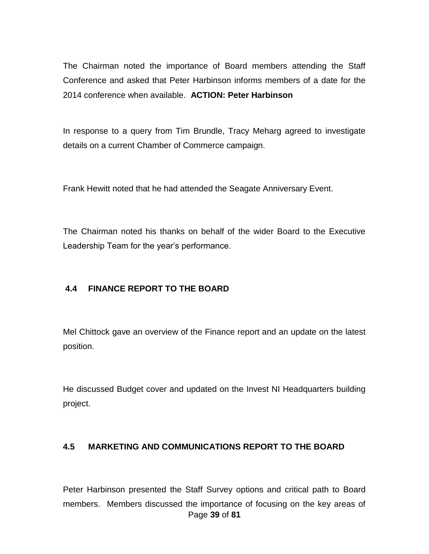The Chairman noted the importance of Board members attending the Staff Conference and asked that Peter Harbinson informs members of a date for the 2014 conference when available. **ACTION: Peter Harbinson**

In response to a query from Tim Brundle, Tracy Meharg agreed to investigate details on a current Chamber of Commerce campaign.

Frank Hewitt noted that he had attended the Seagate Anniversary Event.

The Chairman noted his thanks on behalf of the wider Board to the Executive Leadership Team for the year's performance.

#### **4.4 FINANCE REPORT TO THE BOARD**

Mel Chittock gave an overview of the Finance report and an update on the latest position.

He discussed Budget cover and updated on the Invest NI Headquarters building project.

#### **4.5 MARKETING AND COMMUNICATIONS REPORT TO THE BOARD**

Page **39** of **81** Peter Harbinson presented the Staff Survey options and critical path to Board members. Members discussed the importance of focusing on the key areas of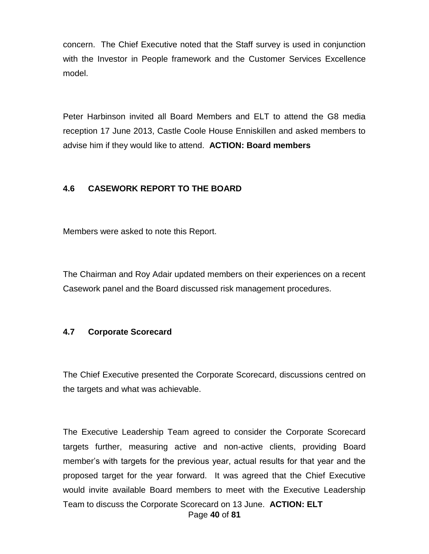concern. The Chief Executive noted that the Staff survey is used in conjunction with the Investor in People framework and the Customer Services Excellence model.

Peter Harbinson invited all Board Members and ELT to attend the G8 media reception 17 June 2013, Castle Coole House Enniskillen and asked members to advise him if they would like to attend. **ACTION: Board members**

## **4.6 CASEWORK REPORT TO THE BOARD**

Members were asked to note this Report.

The Chairman and Roy Adair updated members on their experiences on a recent Casework panel and the Board discussed risk management procedures.

#### **4.7 Corporate Scorecard**

The Chief Executive presented the Corporate Scorecard, discussions centred on the targets and what was achievable.

Page **40** of **81** The Executive Leadership Team agreed to consider the Corporate Scorecard targets further, measuring active and non-active clients, providing Board member's with targets for the previous year, actual results for that year and the proposed target for the year forward. It was agreed that the Chief Executive would invite available Board members to meet with the Executive Leadership Team to discuss the Corporate Scorecard on 13 June. **ACTION: ELT**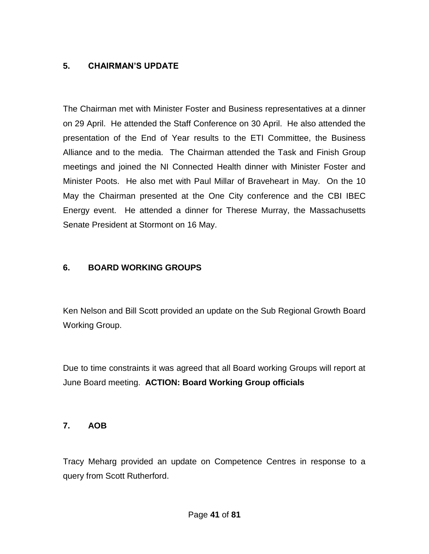## **5. CHAIRMAN'S UPDATE**

The Chairman met with Minister Foster and Business representatives at a dinner on 29 April. He attended the Staff Conference on 30 April. He also attended the presentation of the End of Year results to the ETI Committee, the Business Alliance and to the media. The Chairman attended the Task and Finish Group meetings and joined the NI Connected Health dinner with Minister Foster and Minister Poots. He also met with Paul Millar of Braveheart in May. On the 10 May the Chairman presented at the One City conference and the CBI IBEC Energy event. He attended a dinner for Therese Murray, the Massachusetts Senate President at Stormont on 16 May.

#### **6. BOARD WORKING GROUPS**

Ken Nelson and Bill Scott provided an update on the Sub Regional Growth Board Working Group.

Due to time constraints it was agreed that all Board working Groups will report at June Board meeting. **ACTION: Board Working Group officials**

#### **7. AOB**

Tracy Meharg provided an update on Competence Centres in response to a query from Scott Rutherford.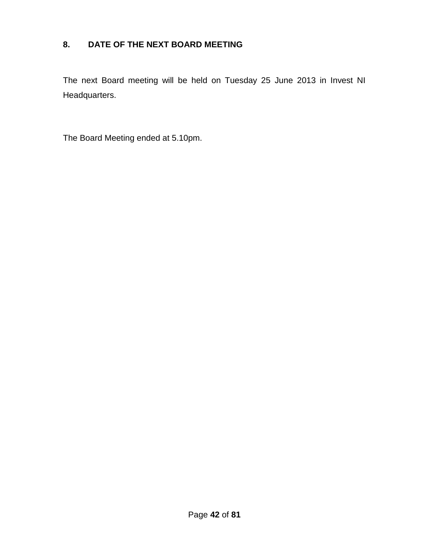## **8. DATE OF THE NEXT BOARD MEETING**

The next Board meeting will be held on Tuesday 25 June 2013 in Invest NI Headquarters.

The Board Meeting ended at 5.10pm.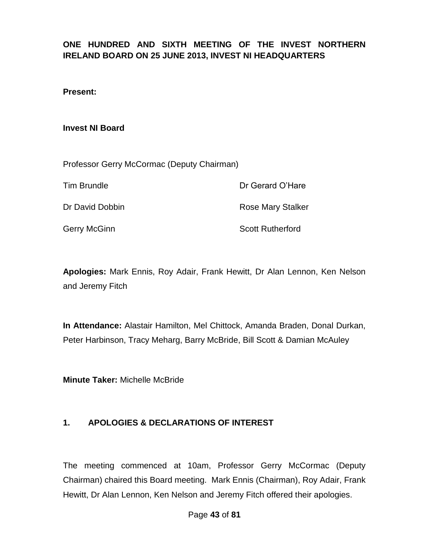## **ONE HUNDRED AND SIXTH MEETING OF THE INVEST NORTHERN IRELAND BOARD ON 25 JUNE 2013, INVEST NI HEADQUARTERS**

#### **Present:**

#### **Invest NI Board**

| Professor Gerry McCormac (Deputy Chairman) |  |
|--------------------------------------------|--|
|--------------------------------------------|--|

Tim Brundle **Dr Gerard O'Hare** 

Dr David Dobbin **Rose Mary Stalker** 

Gerry McGinn Scott Rutherford

**Apologies:** Mark Ennis, Roy Adair, Frank Hewitt, Dr Alan Lennon, Ken Nelson and Jeremy Fitch

**In Attendance:** Alastair Hamilton, Mel Chittock, Amanda Braden, Donal Durkan, Peter Harbinson, Tracy Meharg, Barry McBride, Bill Scott & Damian McAuley

**Minute Taker:** Michelle McBride

#### **1. APOLOGIES & DECLARATIONS OF INTEREST**

The meeting commenced at 10am, Professor Gerry McCormac (Deputy Chairman) chaired this Board meeting. Mark Ennis (Chairman), Roy Adair, Frank Hewitt, Dr Alan Lennon, Ken Nelson and Jeremy Fitch offered their apologies.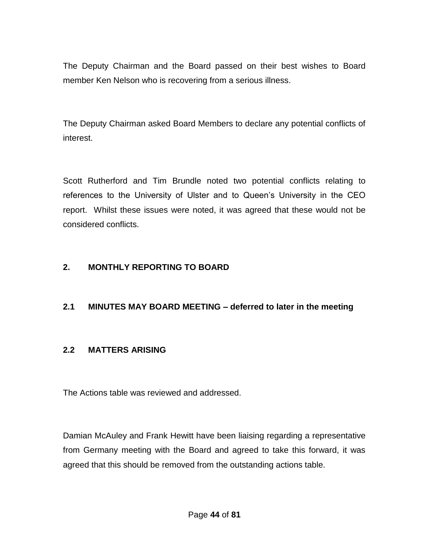The Deputy Chairman and the Board passed on their best wishes to Board member Ken Nelson who is recovering from a serious illness.

The Deputy Chairman asked Board Members to declare any potential conflicts of interest.

Scott Rutherford and Tim Brundle noted two potential conflicts relating to references to the University of Ulster and to Queen's University in the CEO report. Whilst these issues were noted, it was agreed that these would not be considered conflicts.

## **2. MONTHLY REPORTING TO BOARD**

## **2.1 MINUTES MAY BOARD MEETING – deferred to later in the meeting**

#### **2.2 MATTERS ARISING**

The Actions table was reviewed and addressed.

Damian McAuley and Frank Hewitt have been liaising regarding a representative from Germany meeting with the Board and agreed to take this forward, it was agreed that this should be removed from the outstanding actions table.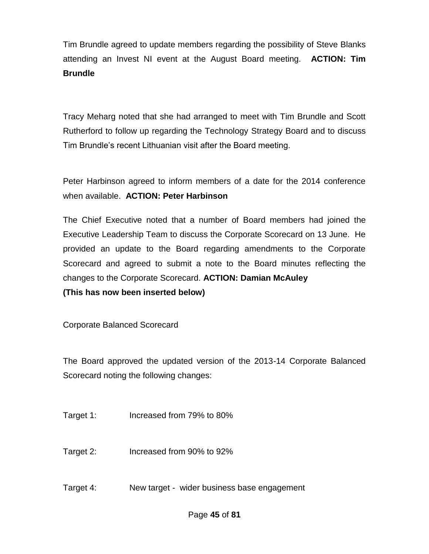Tim Brundle agreed to update members regarding the possibility of Steve Blanks attending an Invest NI event at the August Board meeting. **ACTION: Tim Brundle**

Tracy Meharg noted that she had arranged to meet with Tim Brundle and Scott Rutherford to follow up regarding the Technology Strategy Board and to discuss Tim Brundle's recent Lithuanian visit after the Board meeting.

Peter Harbinson agreed to inform members of a date for the 2014 conference when available. **ACTION: Peter Harbinson**

The Chief Executive noted that a number of Board members had joined the Executive Leadership Team to discuss the Corporate Scorecard on 13 June. He provided an update to the Board regarding amendments to the Corporate Scorecard and agreed to submit a note to the Board minutes reflecting the changes to the Corporate Scorecard. **ACTION: Damian McAuley (This has now been inserted below)**

Corporate Balanced Scorecard

The Board approved the updated version of the 2013-14 Corporate Balanced Scorecard noting the following changes:

- Target 1: Increased from 79% to 80%
- Target 2: Increased from 90% to 92%
- Target 4: New target wider business base engagement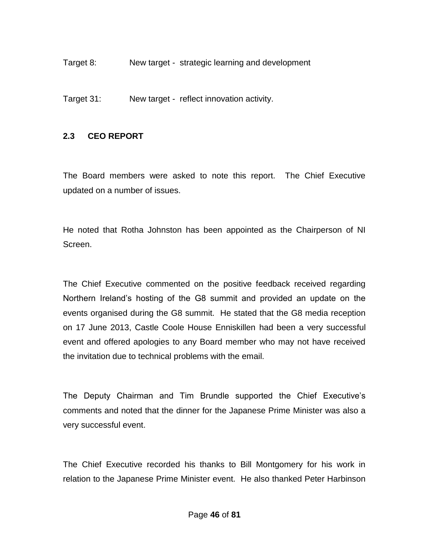Target 8: New target - strategic learning and development

Target 31: New target - reflect innovation activity.

#### **2.3 CEO REPORT**

The Board members were asked to note this report. The Chief Executive updated on a number of issues.

He noted that Rotha Johnston has been appointed as the Chairperson of NI Screen.

The Chief Executive commented on the positive feedback received regarding Northern Ireland's hosting of the G8 summit and provided an update on the events organised during the G8 summit. He stated that the G8 media reception on 17 June 2013, Castle Coole House Enniskillen had been a very successful event and offered apologies to any Board member who may not have received the invitation due to technical problems with the email.

The Deputy Chairman and Tim Brundle supported the Chief Executive's comments and noted that the dinner for the Japanese Prime Minister was also a very successful event.

The Chief Executive recorded his thanks to Bill Montgomery for his work in relation to the Japanese Prime Minister event. He also thanked Peter Harbinson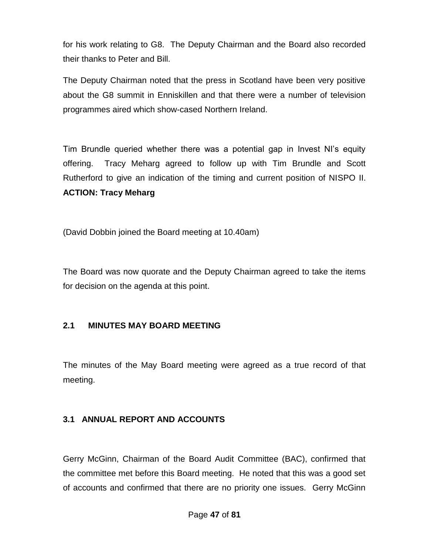for his work relating to G8. The Deputy Chairman and the Board also recorded their thanks to Peter and Bill.

The Deputy Chairman noted that the press in Scotland have been very positive about the G8 summit in Enniskillen and that there were a number of television programmes aired which show-cased Northern Ireland.

Tim Brundle queried whether there was a potential gap in Invest NI's equity offering. Tracy Meharg agreed to follow up with Tim Brundle and Scott Rutherford to give an indication of the timing and current position of NISPO II. **ACTION: Tracy Meharg**

(David Dobbin joined the Board meeting at 10.40am)

The Board was now quorate and the Deputy Chairman agreed to take the items for decision on the agenda at this point.

## **2.1 MINUTES MAY BOARD MEETING**

The minutes of the May Board meeting were agreed as a true record of that meeting.

## **3.1 ANNUAL REPORT AND ACCOUNTS**

Gerry McGinn, Chairman of the Board Audit Committee (BAC), confirmed that the committee met before this Board meeting. He noted that this was a good set of accounts and confirmed that there are no priority one issues. Gerry McGinn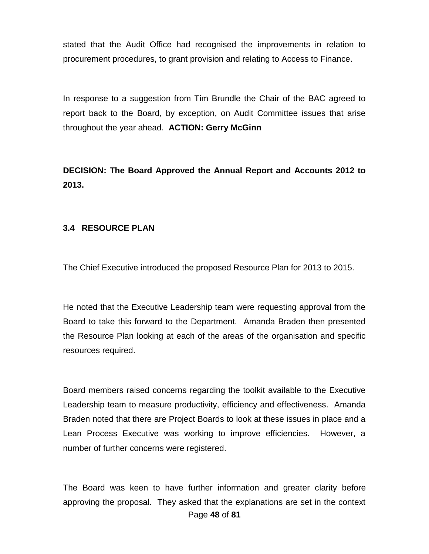stated that the Audit Office had recognised the improvements in relation to procurement procedures, to grant provision and relating to Access to Finance.

In response to a suggestion from Tim Brundle the Chair of the BAC agreed to report back to the Board, by exception, on Audit Committee issues that arise throughout the year ahead. **ACTION: Gerry McGinn**

**DECISION: The Board Approved the Annual Report and Accounts 2012 to 2013.**

#### **3.4 RESOURCE PLAN**

The Chief Executive introduced the proposed Resource Plan for 2013 to 2015.

He noted that the Executive Leadership team were requesting approval from the Board to take this forward to the Department. Amanda Braden then presented the Resource Plan looking at each of the areas of the organisation and specific resources required.

Board members raised concerns regarding the toolkit available to the Executive Leadership team to measure productivity, efficiency and effectiveness. Amanda Braden noted that there are Project Boards to look at these issues in place and a Lean Process Executive was working to improve efficiencies. However, a number of further concerns were registered.

Page **48** of **81** The Board was keen to have further information and greater clarity before approving the proposal. They asked that the explanations are set in the context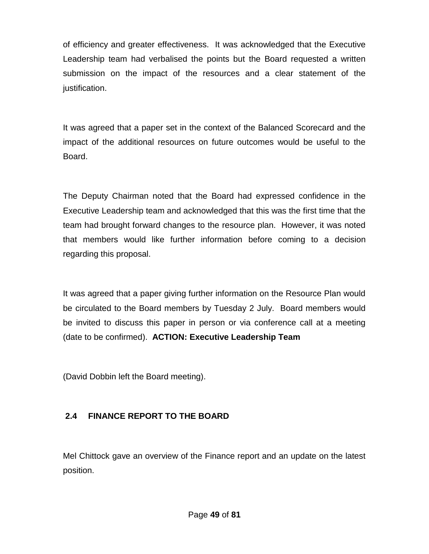of efficiency and greater effectiveness. It was acknowledged that the Executive Leadership team had verbalised the points but the Board requested a written submission on the impact of the resources and a clear statement of the justification.

It was agreed that a paper set in the context of the Balanced Scorecard and the impact of the additional resources on future outcomes would be useful to the Board.

The Deputy Chairman noted that the Board had expressed confidence in the Executive Leadership team and acknowledged that this was the first time that the team had brought forward changes to the resource plan. However, it was noted that members would like further information before coming to a decision regarding this proposal.

It was agreed that a paper giving further information on the Resource Plan would be circulated to the Board members by Tuesday 2 July. Board members would be invited to discuss this paper in person or via conference call at a meeting (date to be confirmed). **ACTION: Executive Leadership Team**

(David Dobbin left the Board meeting).

## **2.4 FINANCE REPORT TO THE BOARD**

Mel Chittock gave an overview of the Finance report and an update on the latest position.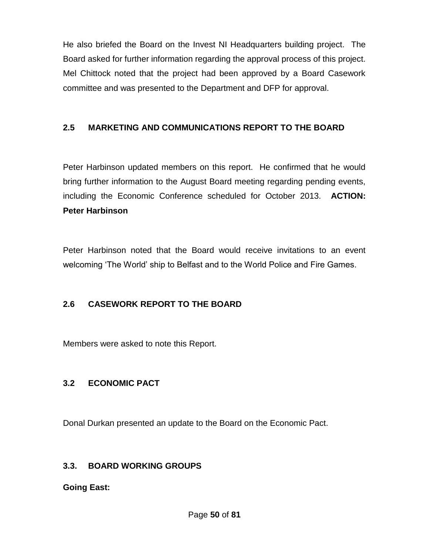He also briefed the Board on the Invest NI Headquarters building project. The Board asked for further information regarding the approval process of this project. Mel Chittock noted that the project had been approved by a Board Casework committee and was presented to the Department and DFP for approval.

## **2.5 MARKETING AND COMMUNICATIONS REPORT TO THE BOARD**

Peter Harbinson updated members on this report. He confirmed that he would bring further information to the August Board meeting regarding pending events, including the Economic Conference scheduled for October 2013. **ACTION: Peter Harbinson**

Peter Harbinson noted that the Board would receive invitations to an event welcoming 'The World' ship to Belfast and to the World Police and Fire Games.

## **2.6 CASEWORK REPORT TO THE BOARD**

Members were asked to note this Report.

## **3.2 ECONOMIC PACT**

Donal Durkan presented an update to the Board on the Economic Pact.

## **3.3. BOARD WORKING GROUPS**

**Going East:**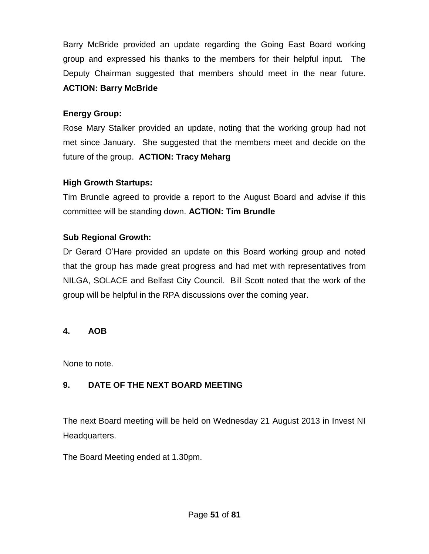Barry McBride provided an update regarding the Going East Board working group and expressed his thanks to the members for their helpful input. The Deputy Chairman suggested that members should meet in the near future. **ACTION: Barry McBride**

## **Energy Group:**

Rose Mary Stalker provided an update, noting that the working group had not met since January. She suggested that the members meet and decide on the future of the group. **ACTION: Tracy Meharg**

## **High Growth Startups:**

Tim Brundle agreed to provide a report to the August Board and advise if this committee will be standing down. **ACTION: Tim Brundle**

## **Sub Regional Growth:**

Dr Gerard O'Hare provided an update on this Board working group and noted that the group has made great progress and had met with representatives from NILGA, SOLACE and Belfast City Council. Bill Scott noted that the work of the group will be helpful in the RPA discussions over the coming year.

#### **4. AOB**

None to note.

## **9. DATE OF THE NEXT BOARD MEETING**

The next Board meeting will be held on Wednesday 21 August 2013 in Invest NI Headquarters.

The Board Meeting ended at 1.30pm.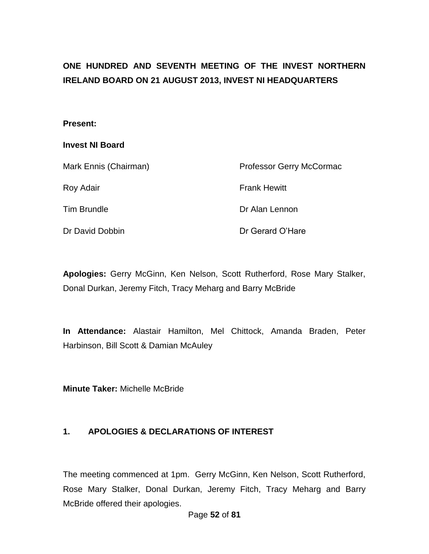# **ONE HUNDRED AND SEVENTH MEETING OF THE INVEST NORTHERN IRELAND BOARD ON 21 AUGUST 2013, INVEST NI HEADQUARTERS**

#### **Present:**

#### **Invest NI Board**

| Mark Ennis (Chairman) | <b>Professor Gerry McCormac</b> |
|-----------------------|---------------------------------|
| Roy Adair             | <b>Frank Hewitt</b>             |
| <b>Tim Brundle</b>    | Dr Alan Lennon                  |
| Dr David Dobbin       | Dr Gerard O'Hare                |

**Apologies:** Gerry McGinn, Ken Nelson, Scott Rutherford, Rose Mary Stalker, Donal Durkan, Jeremy Fitch, Tracy Meharg and Barry McBride

**In Attendance:** Alastair Hamilton, Mel Chittock, Amanda Braden, Peter Harbinson, Bill Scott & Damian McAuley

**Minute Taker:** Michelle McBride

#### **1. APOLOGIES & DECLARATIONS OF INTEREST**

The meeting commenced at 1pm. Gerry McGinn, Ken Nelson, Scott Rutherford, Rose Mary Stalker, Donal Durkan, Jeremy Fitch, Tracy Meharg and Barry McBride offered their apologies.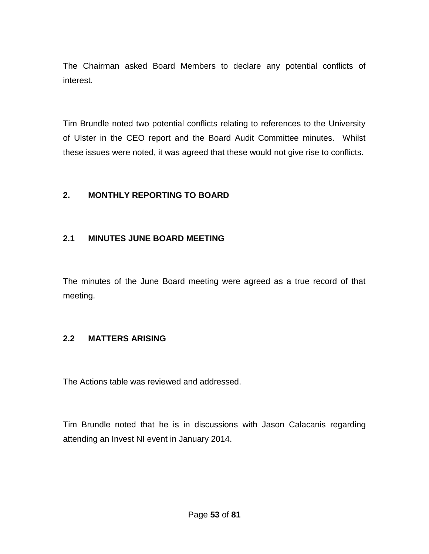The Chairman asked Board Members to declare any potential conflicts of interest.

Tim Brundle noted two potential conflicts relating to references to the University of Ulster in the CEO report and the Board Audit Committee minutes. Whilst these issues were noted, it was agreed that these would not give rise to conflicts.

#### **2. MONTHLY REPORTING TO BOARD**

#### **2.1 MINUTES JUNE BOARD MEETING**

The minutes of the June Board meeting were agreed as a true record of that meeting.

#### **2.2 MATTERS ARISING**

The Actions table was reviewed and addressed.

Tim Brundle noted that he is in discussions with Jason Calacanis regarding attending an Invest NI event in January 2014.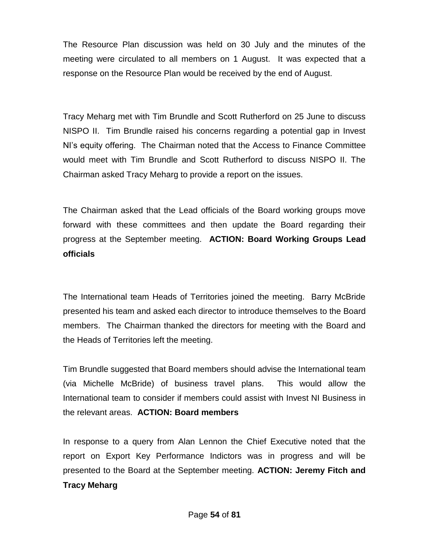The Resource Plan discussion was held on 30 July and the minutes of the meeting were circulated to all members on 1 August. It was expected that a response on the Resource Plan would be received by the end of August.

Tracy Meharg met with Tim Brundle and Scott Rutherford on 25 June to discuss NISPO II. Tim Brundle raised his concerns regarding a potential gap in Invest NI's equity offering. The Chairman noted that the Access to Finance Committee would meet with Tim Brundle and Scott Rutherford to discuss NISPO II. The Chairman asked Tracy Meharg to provide a report on the issues.

The Chairman asked that the Lead officials of the Board working groups move forward with these committees and then update the Board regarding their progress at the September meeting. **ACTION: Board Working Groups Lead officials**

The International team Heads of Territories joined the meeting. Barry McBride presented his team and asked each director to introduce themselves to the Board members. The Chairman thanked the directors for meeting with the Board and the Heads of Territories left the meeting.

Tim Brundle suggested that Board members should advise the International team (via Michelle McBride) of business travel plans. This would allow the International team to consider if members could assist with Invest NI Business in the relevant areas. **ACTION: Board members**

In response to a query from Alan Lennon the Chief Executive noted that the report on Export Key Performance Indictors was in progress and will be presented to the Board at the September meeting. **ACTION: Jeremy Fitch and Tracy Meharg**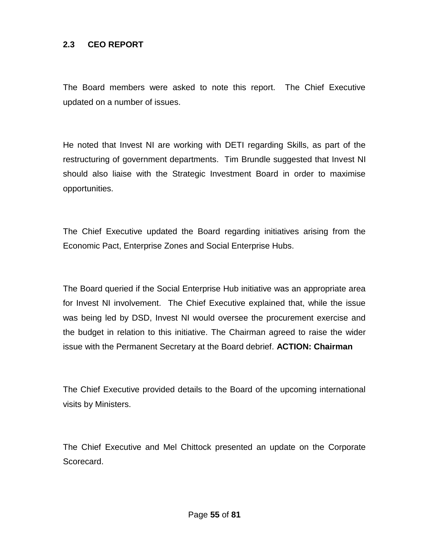#### **2.3 CEO REPORT**

The Board members were asked to note this report. The Chief Executive updated on a number of issues.

He noted that Invest NI are working with DETI regarding Skills, as part of the restructuring of government departments. Tim Brundle suggested that Invest NI should also liaise with the Strategic Investment Board in order to maximise opportunities.

The Chief Executive updated the Board regarding initiatives arising from the Economic Pact, Enterprise Zones and Social Enterprise Hubs.

The Board queried if the Social Enterprise Hub initiative was an appropriate area for Invest NI involvement. The Chief Executive explained that, while the issue was being led by DSD, Invest NI would oversee the procurement exercise and the budget in relation to this initiative. The Chairman agreed to raise the wider issue with the Permanent Secretary at the Board debrief. **ACTION: Chairman**

The Chief Executive provided details to the Board of the upcoming international visits by Ministers.

The Chief Executive and Mel Chittock presented an update on the Corporate Scorecard.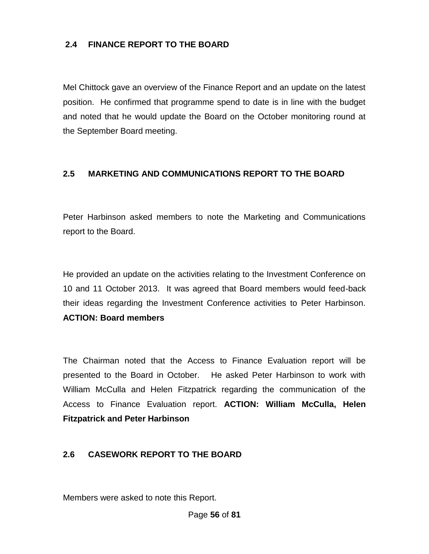## **2.4 FINANCE REPORT TO THE BOARD**

Mel Chittock gave an overview of the Finance Report and an update on the latest position. He confirmed that programme spend to date is in line with the budget and noted that he would update the Board on the October monitoring round at the September Board meeting.

## **2.5 MARKETING AND COMMUNICATIONS REPORT TO THE BOARD**

Peter Harbinson asked members to note the Marketing and Communications report to the Board.

He provided an update on the activities relating to the Investment Conference on 10 and 11 October 2013. It was agreed that Board members would feed-back their ideas regarding the Investment Conference activities to Peter Harbinson. **ACTION: Board members**

The Chairman noted that the Access to Finance Evaluation report will be presented to the Board in October. He asked Peter Harbinson to work with William McCulla and Helen Fitzpatrick regarding the communication of the Access to Finance Evaluation report. **ACTION: William McCulla, Helen Fitzpatrick and Peter Harbinson**

#### **2.6 CASEWORK REPORT TO THE BOARD**

Members were asked to note this Report.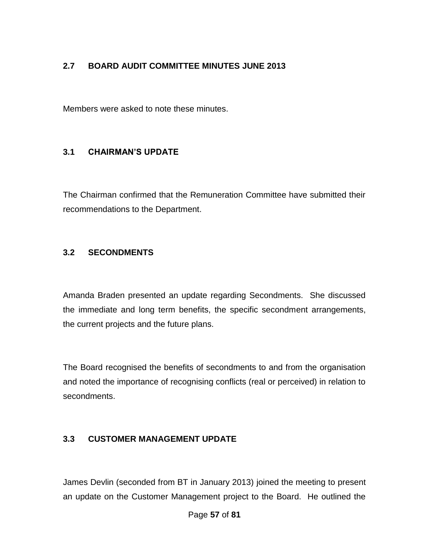## **2.7 BOARD AUDIT COMMITTEE MINUTES JUNE 2013**

Members were asked to note these minutes.

#### **3.1 CHAIRMAN'S UPDATE**

The Chairman confirmed that the Remuneration Committee have submitted their recommendations to the Department.

#### **3.2 SECONDMENTS**

Amanda Braden presented an update regarding Secondments. She discussed the immediate and long term benefits, the specific secondment arrangements, the current projects and the future plans.

The Board recognised the benefits of secondments to and from the organisation and noted the importance of recognising conflicts (real or perceived) in relation to secondments.

#### **3.3 CUSTOMER MANAGEMENT UPDATE**

James Devlin (seconded from BT in January 2013) joined the meeting to present an update on the Customer Management project to the Board. He outlined the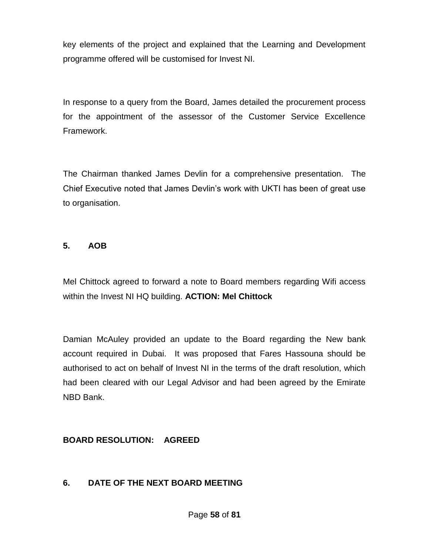key elements of the project and explained that the Learning and Development programme offered will be customised for Invest NI.

In response to a query from the Board, James detailed the procurement process for the appointment of the assessor of the Customer Service Excellence Framework.

The Chairman thanked James Devlin for a comprehensive presentation. The Chief Executive noted that James Devlin's work with UKTI has been of great use to organisation.

#### **5. AOB**

Mel Chittock agreed to forward a note to Board members regarding Wifi access within the Invest NI HQ building. **ACTION: Mel Chittock**

Damian McAuley provided an update to the Board regarding the New bank account required in Dubai. It was proposed that Fares Hassouna should be authorised to act on behalf of Invest NI in the terms of the draft resolution, which had been cleared with our Legal Advisor and had been agreed by the Emirate NBD Bank.

## **BOARD RESOLUTION: AGREED**

## **6. DATE OF THE NEXT BOARD MEETING**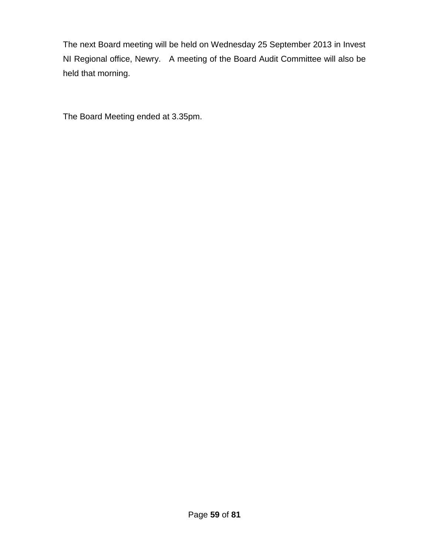The next Board meeting will be held on Wednesday 25 September 2013 in Invest NI Regional office, Newry. A meeting of the Board Audit Committee will also be held that morning.

The Board Meeting ended at 3.35pm.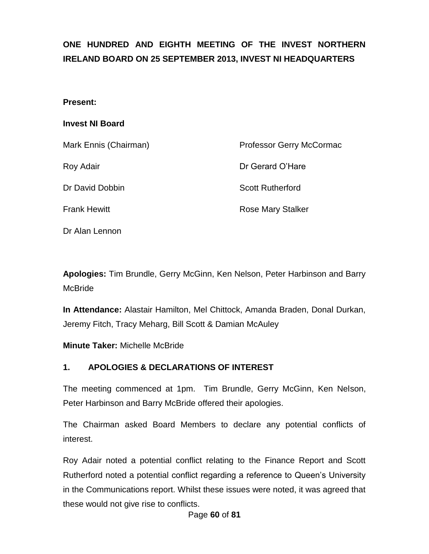# **ONE HUNDRED AND EIGHTH MEETING OF THE INVEST NORTHERN IRELAND BOARD ON 25 SEPTEMBER 2013, INVEST NI HEADQUARTERS**

#### **Present:**

#### **Invest NI Board**

Mark Ennis (Chairman) and Brofessor Gerry McCormac Roy Adair **No. 2018 Dr Gerard O'Hare** Dr David Dobbin Scott Rutherford Frank Hewitt **Rose Mary Stalker** Rose Mary Stalker Dr Alan Lennon

**Apologies:** Tim Brundle, Gerry McGinn, Ken Nelson, Peter Harbinson and Barry McBride

**In Attendance:** Alastair Hamilton, Mel Chittock, Amanda Braden, Donal Durkan, Jeremy Fitch, Tracy Meharg, Bill Scott & Damian McAuley

**Minute Taker:** Michelle McBride

#### **1. APOLOGIES & DECLARATIONS OF INTEREST**

The meeting commenced at 1pm. Tim Brundle, Gerry McGinn, Ken Nelson, Peter Harbinson and Barry McBride offered their apologies.

The Chairman asked Board Members to declare any potential conflicts of interest.

Roy Adair noted a potential conflict relating to the Finance Report and Scott Rutherford noted a potential conflict regarding a reference to Queen's University in the Communications report. Whilst these issues were noted, it was agreed that these would not give rise to conflicts.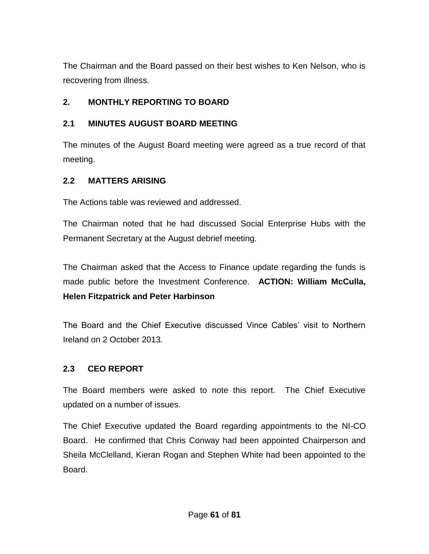The Chairman and the Board passed on their best wishes to Ken Nelson, who is recovering from illness.

## **2. MONTHLY REPORTING TO BOARD**

## **2.1 MINUTES AUGUST BOARD MEETING**

The minutes of the August Board meeting were agreed as a true record of that meeting.

## **2.2 MATTERS ARISING**

The Actions table was reviewed and addressed.

The Chairman noted that he had discussed Social Enterprise Hubs with the Permanent Secretary at the August debrief meeting.

The Chairman asked that the Access to Finance update regarding the funds is made public before the Investment Conference. **ACTION: William McCulla, Helen Fitzpatrick and Peter Harbinson**

The Board and the Chief Executive discussed Vince Cables' visit to Northern Ireland on 2 October 2013*.*

## **2.3 CEO REPORT**

The Board members were asked to note this report. The Chief Executive updated on a number of issues.

The Chief Executive updated the Board regarding appointments to the NI-CO Board. He confirmed that Chris Conway had been appointed Chairperson and Sheila McClelland, Kieran Rogan and Stephen White had been appointed to the Board.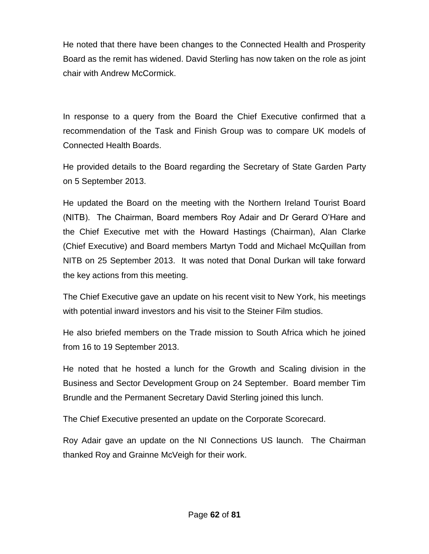He noted that there have been changes to the Connected Health and Prosperity Board as the remit has widened. David Sterling has now taken on the role as joint chair with Andrew McCormick.

In response to a query from the Board the Chief Executive confirmed that a recommendation of the Task and Finish Group was to compare UK models of Connected Health Boards.

He provided details to the Board regarding the Secretary of State Garden Party on 5 September 2013.

He updated the Board on the meeting with the Northern Ireland Tourist Board (NITB). The Chairman, Board members Roy Adair and Dr Gerard O'Hare and the Chief Executive met with the Howard Hastings (Chairman), Alan Clarke (Chief Executive) and Board members Martyn Todd and Michael McQuillan from NITB on 25 September 2013. It was noted that Donal Durkan will take forward the key actions from this meeting.

The Chief Executive gave an update on his recent visit to New York, his meetings with potential inward investors and his visit to the Steiner Film studios.

He also briefed members on the Trade mission to South Africa which he joined from 16 to 19 September 2013.

He noted that he hosted a lunch for the Growth and Scaling division in the Business and Sector Development Group on 24 September. Board member Tim Brundle and the Permanent Secretary David Sterling joined this lunch.

The Chief Executive presented an update on the Corporate Scorecard.

Roy Adair gave an update on the NI Connections US launch. The Chairman thanked Roy and Grainne McVeigh for their work.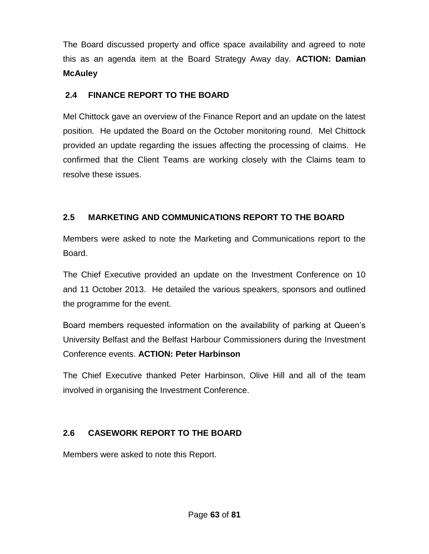The Board discussed property and office space availability and agreed to note this as an agenda item at the Board Strategy Away day. **ACTION: Damian McAuley**

## **2.4 FINANCE REPORT TO THE BOARD**

Mel Chittock gave an overview of the Finance Report and an update on the latest position. He updated the Board on the October monitoring round. Mel Chittock provided an update regarding the issues affecting the processing of claims. He confirmed that the Client Teams are working closely with the Claims team to resolve these issues.

## **2.5 MARKETING AND COMMUNICATIONS REPORT TO THE BOARD**

Members were asked to note the Marketing and Communications report to the Board.

The Chief Executive provided an update on the Investment Conference on 10 and 11 October 2013. He detailed the various speakers, sponsors and outlined the programme for the event.

Board members requested information on the availability of parking at Queen's University Belfast and the Belfast Harbour Commissioners during the Investment Conference events. **ACTION: Peter Harbinson**

The Chief Executive thanked Peter Harbinson, Olive Hill and all of the team involved in organising the Investment Conference.

## **2.6 CASEWORK REPORT TO THE BOARD**

Members were asked to note this Report.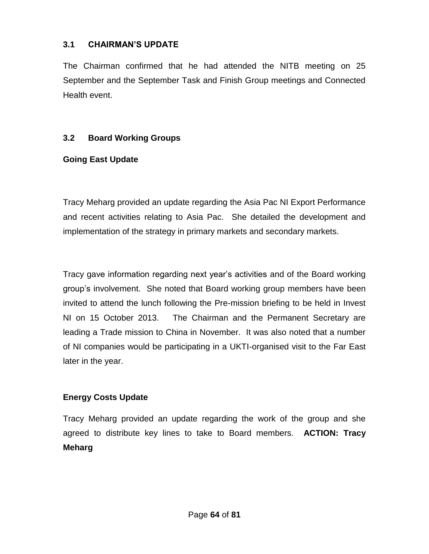## **3.1 CHAIRMAN'S UPDATE**

The Chairman confirmed that he had attended the NITB meeting on 25 September and the September Task and Finish Group meetings and Connected Health event.

## **3.2 Board Working Groups**

## **Going East Update**

Tracy Meharg provided an update regarding the Asia Pac NI Export Performance and recent activities relating to Asia Pac. She detailed the development and implementation of the strategy in primary markets and secondary markets.

Tracy gave information regarding next year's activities and of the Board working group's involvement. She noted that Board working group members have been invited to attend the lunch following the Pre-mission briefing to be held in Invest NI on 15 October 2013. The Chairman and the Permanent Secretary are leading a Trade mission to China in November. It was also noted that a number of NI companies would be participating in a UKTI-organised visit to the Far East later in the year.

## **Energy Costs Update**

Tracy Meharg provided an update regarding the work of the group and she agreed to distribute key lines to take to Board members. **ACTION: Tracy Meharg**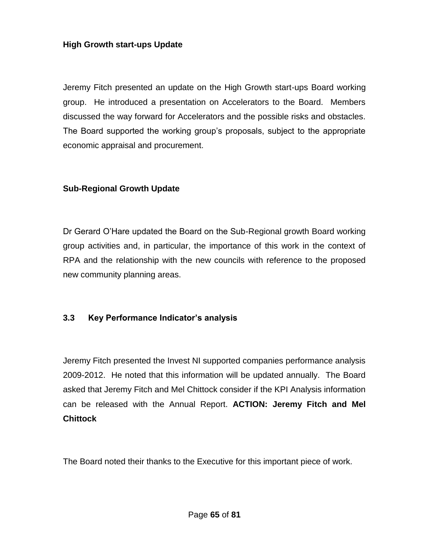#### **High Growth start-ups Update**

Jeremy Fitch presented an update on the High Growth start-ups Board working group. He introduced a presentation on Accelerators to the Board. Members discussed the way forward for Accelerators and the possible risks and obstacles. The Board supported the working group's proposals, subject to the appropriate economic appraisal and procurement.

#### **Sub-Regional Growth Update**

Dr Gerard O'Hare updated the Board on the Sub-Regional growth Board working group activities and, in particular, the importance of this work in the context of RPA and the relationship with the new councils with reference to the proposed new community planning areas.

#### **3.3 Key Performance Indicator's analysis**

Jeremy Fitch presented the Invest NI supported companies performance analysis 2009-2012. He noted that this information will be updated annually. The Board asked that Jeremy Fitch and Mel Chittock consider if the KPI Analysis information can be released with the Annual Report. **ACTION: Jeremy Fitch and Mel Chittock**

The Board noted their thanks to the Executive for this important piece of work.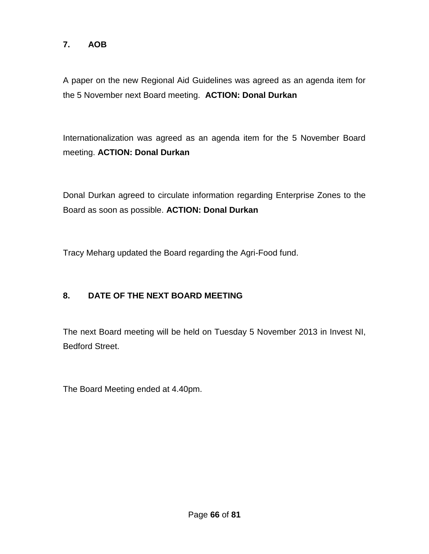## **7. AOB**

A paper on the new Regional Aid Guidelines was agreed as an agenda item for the 5 November next Board meeting. **ACTION: Donal Durkan**

Internationalization was agreed as an agenda item for the 5 November Board meeting. **ACTION: Donal Durkan**

Donal Durkan agreed to circulate information regarding Enterprise Zones to the Board as soon as possible. **ACTION: Donal Durkan**

Tracy Meharg updated the Board regarding the Agri-Food fund.

## **8. DATE OF THE NEXT BOARD MEETING**

The next Board meeting will be held on Tuesday 5 November 2013 in Invest NI, Bedford Street.

The Board Meeting ended at 4.40pm.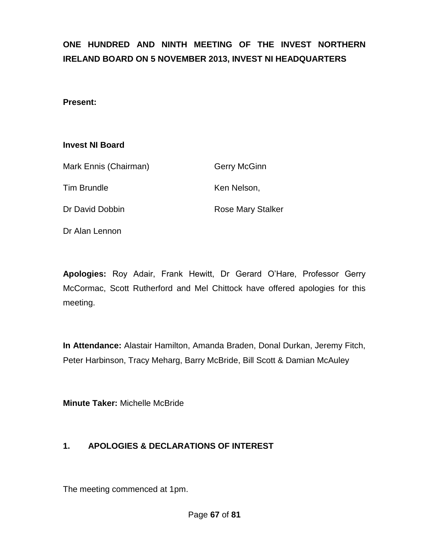# **ONE HUNDRED AND NINTH MEETING OF THE INVEST NORTHERN IRELAND BOARD ON 5 NOVEMBER 2013, INVEST NI HEADQUARTERS**

#### **Present:**

#### **Invest NI Board**

| Mark Ennis (Chairman) | <b>Gerry McGinn</b>      |
|-----------------------|--------------------------|
| <b>Tim Brundle</b>    | Ken Nelson,              |
| Dr David Dobbin       | <b>Rose Mary Stalker</b> |

Dr Alan Lennon

**Apologies:** Roy Adair, Frank Hewitt, Dr Gerard O'Hare, Professor Gerry McCormac, Scott Rutherford and Mel Chittock have offered apologies for this meeting.

**In Attendance:** Alastair Hamilton, Amanda Braden, Donal Durkan, Jeremy Fitch, Peter Harbinson, Tracy Meharg, Barry McBride, Bill Scott & Damian McAuley

**Minute Taker:** Michelle McBride

## **1. APOLOGIES & DECLARATIONS OF INTEREST**

The meeting commenced at 1pm.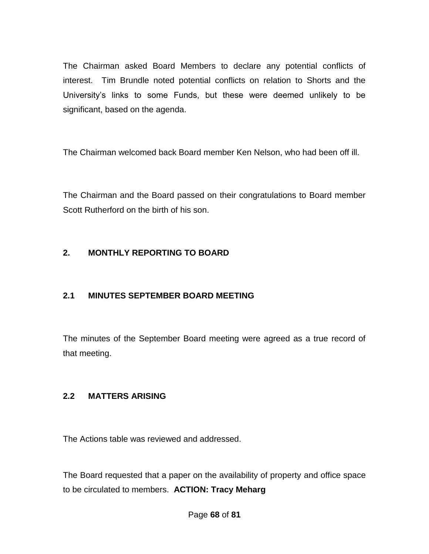The Chairman asked Board Members to declare any potential conflicts of interest. Tim Brundle noted potential conflicts on relation to Shorts and the University's links to some Funds, but these were deemed unlikely to be significant, based on the agenda.

The Chairman welcomed back Board member Ken Nelson, who had been off ill.

The Chairman and the Board passed on their congratulations to Board member Scott Rutherford on the birth of his son.

## **2. MONTHLY REPORTING TO BOARD**

## **2.1 MINUTES SEPTEMBER BOARD MEETING**

The minutes of the September Board meeting were agreed as a true record of that meeting.

## **2.2 MATTERS ARISING**

The Actions table was reviewed and addressed.

The Board requested that a paper on the availability of property and office space to be circulated to members. **ACTION: Tracy Meharg**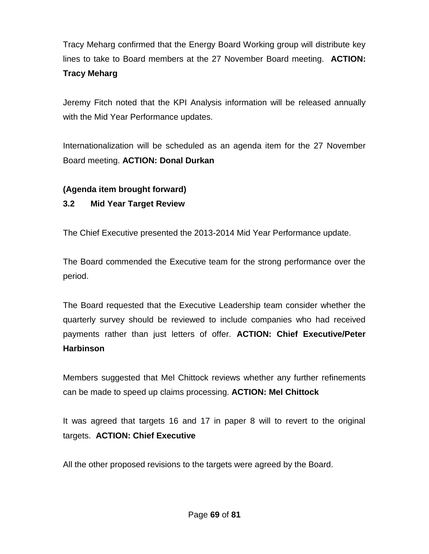Tracy Meharg confirmed that the Energy Board Working group will distribute key lines to take to Board members at the 27 November Board meeting. **ACTION: Tracy Meharg**

Jeremy Fitch noted that the KPI Analysis information will be released annually with the Mid Year Performance updates.

Internationalization will be scheduled as an agenda item for the 27 November Board meeting. **ACTION: Donal Durkan**

## **(Agenda item brought forward)**

## **3.2 Mid Year Target Review**

The Chief Executive presented the 2013-2014 Mid Year Performance update.

The Board commended the Executive team for the strong performance over the period.

The Board requested that the Executive Leadership team consider whether the quarterly survey should be reviewed to include companies who had received payments rather than just letters of offer. **ACTION: Chief Executive/Peter Harbinson**

Members suggested that Mel Chittock reviews whether any further refinements can be made to speed up claims processing. **ACTION: Mel Chittock**

It was agreed that targets 16 and 17 in paper 8 will to revert to the original targets. **ACTION: Chief Executive** 

All the other proposed revisions to the targets were agreed by the Board.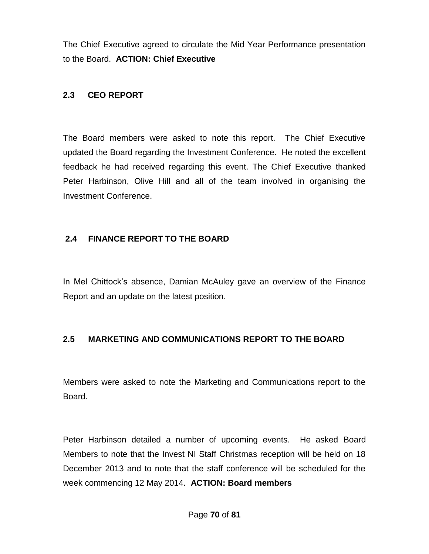The Chief Executive agreed to circulate the Mid Year Performance presentation to the Board. **ACTION: Chief Executive** 

## **2.3 CEO REPORT**

The Board members were asked to note this report. The Chief Executive updated the Board regarding the Investment Conference. He noted the excellent feedback he had received regarding this event. The Chief Executive thanked Peter Harbinson, Olive Hill and all of the team involved in organising the Investment Conference.

## **2.4 FINANCE REPORT TO THE BOARD**

In Mel Chittock's absence, Damian McAuley gave an overview of the Finance Report and an update on the latest position.

## **2.5 MARKETING AND COMMUNICATIONS REPORT TO THE BOARD**

Members were asked to note the Marketing and Communications report to the Board.

Peter Harbinson detailed a number of upcoming events. He asked Board Members to note that the Invest NI Staff Christmas reception will be held on 18 December 2013 and to note that the staff conference will be scheduled for the week commencing 12 May 2014. **ACTION: Board members**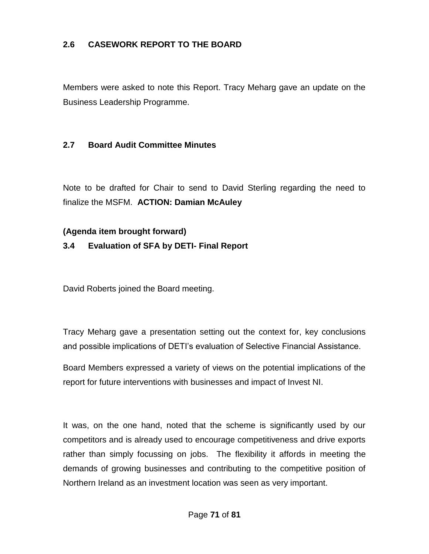## **2.6 CASEWORK REPORT TO THE BOARD**

Members were asked to note this Report. Tracy Meharg gave an update on the Business Leadership Programme.

#### **2.7 Board Audit Committee Minutes**

Note to be drafted for Chair to send to David Sterling regarding the need to finalize the MSFM. **ACTION: Damian McAuley**

#### **(Agenda item brought forward)**

#### **3.4 Evaluation of SFA by DETI- Final Report**

David Roberts joined the Board meeting.

Tracy Meharg gave a presentation setting out the context for, key conclusions and possible implications of DETI's evaluation of Selective Financial Assistance.

Board Members expressed a variety of views on the potential implications of the report for future interventions with businesses and impact of Invest NI.

It was, on the one hand, noted that the scheme is significantly used by our competitors and is already used to encourage competitiveness and drive exports rather than simply focussing on jobs. The flexibility it affords in meeting the demands of growing businesses and contributing to the competitive position of Northern Ireland as an investment location was seen as very important.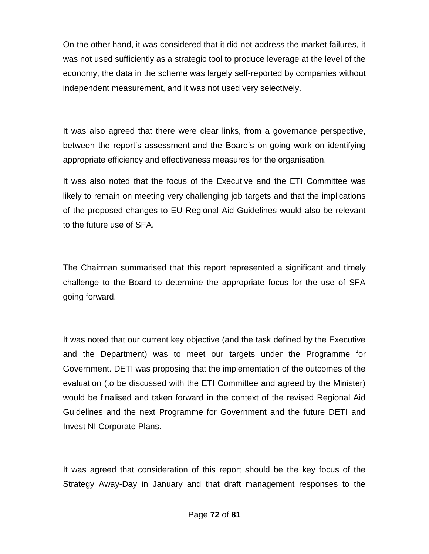On the other hand, it was considered that it did not address the market failures, it was not used sufficiently as a strategic tool to produce leverage at the level of the economy, the data in the scheme was largely self-reported by companies without independent measurement, and it was not used very selectively.

It was also agreed that there were clear links, from a governance perspective, between the report's assessment and the Board's on-going work on identifying appropriate efficiency and effectiveness measures for the organisation.

It was also noted that the focus of the Executive and the ETI Committee was likely to remain on meeting very challenging job targets and that the implications of the proposed changes to EU Regional Aid Guidelines would also be relevant to the future use of SFA.

The Chairman summarised that this report represented a significant and timely challenge to the Board to determine the appropriate focus for the use of SFA going forward.

It was noted that our current key objective (and the task defined by the Executive and the Department) was to meet our targets under the Programme for Government. DETI was proposing that the implementation of the outcomes of the evaluation (to be discussed with the ETI Committee and agreed by the Minister) would be finalised and taken forward in the context of the revised Regional Aid Guidelines and the next Programme for Government and the future DETI and Invest NI Corporate Plans.

It was agreed that consideration of this report should be the key focus of the Strategy Away-Day in January and that draft management responses to the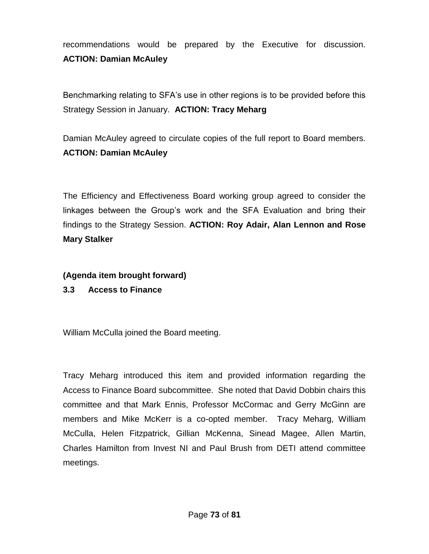recommendations would be prepared by the Executive for discussion. **ACTION: Damian McAuley**

Benchmarking relating to SFA's use in other regions is to be provided before this Strategy Session in January. **ACTION: Tracy Meharg**

Damian McAuley agreed to circulate copies of the full report to Board members. **ACTION: Damian McAuley** 

The Efficiency and Effectiveness Board working group agreed to consider the linkages between the Group's work and the SFA Evaluation and bring their findings to the Strategy Session. **ACTION: Roy Adair, Alan Lennon and Rose Mary Stalker**

**(Agenda item brought forward)**

**3.3 Access to Finance**

William McCulla joined the Board meeting.

Tracy Meharg introduced this item and provided information regarding the Access to Finance Board subcommittee. She noted that David Dobbin chairs this committee and that Mark Ennis, Professor McCormac and Gerry McGinn are members and Mike McKerr is a co-opted member. Tracy Meharg, William McCulla, Helen Fitzpatrick, Gillian McKenna, Sinead Magee, Allen Martin, Charles Hamilton from Invest NI and Paul Brush from DETI attend committee meetings.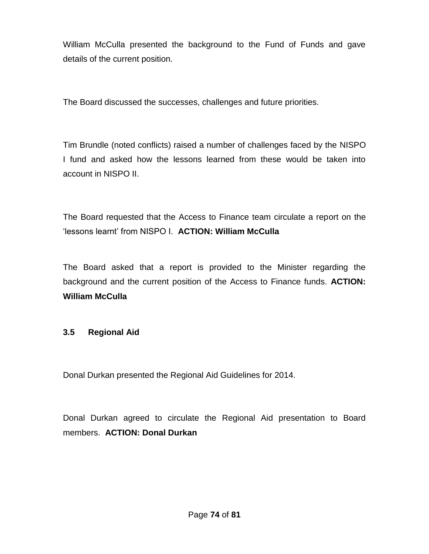William McCulla presented the background to the Fund of Funds and gave details of the current position.

The Board discussed the successes, challenges and future priorities.

Tim Brundle (noted conflicts) raised a number of challenges faced by the NISPO I fund and asked how the lessons learned from these would be taken into account in NISPO II.

The Board requested that the Access to Finance team circulate a report on the 'lessons learnt' from NISPO I. **ACTION: William McCulla**

The Board asked that a report is provided to the Minister regarding the background and the current position of the Access to Finance funds. **ACTION: William McCulla**

# **3.5 Regional Aid**

Donal Durkan presented the Regional Aid Guidelines for 2014.

Donal Durkan agreed to circulate the Regional Aid presentation to Board members. **ACTION: Donal Durkan**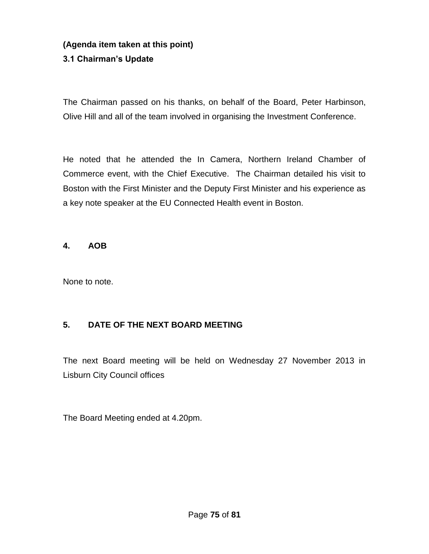# **(Agenda item taken at this point) 3.1 Chairman's Update**

The Chairman passed on his thanks, on behalf of the Board, Peter Harbinson, Olive Hill and all of the team involved in organising the Investment Conference.

He noted that he attended the In Camera, Northern Ireland Chamber of Commerce event, with the Chief Executive. The Chairman detailed his visit to Boston with the First Minister and the Deputy First Minister and his experience as a key note speaker at the EU Connected Health event in Boston.

#### **4. AOB**

None to note.

# **5. DATE OF THE NEXT BOARD MEETING**

The next Board meeting will be held on Wednesday 27 November 2013 in Lisburn City Council offices

The Board Meeting ended at 4.20pm.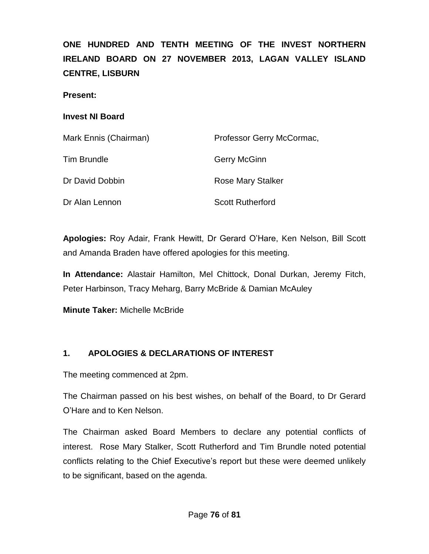**ONE HUNDRED AND TENTH MEETING OF THE INVEST NORTHERN IRELAND BOARD ON 27 NOVEMBER 2013, LAGAN VALLEY ISLAND CENTRE, LISBURN**

**Present:**

#### **Invest NI Board**

| Mark Ennis (Chairman) | Professor Gerry McCormac, |
|-----------------------|---------------------------|
| <b>Tim Brundle</b>    | Gerry McGinn              |
| Dr David Dobbin       | Rose Mary Stalker         |
| Dr Alan Lennon        | <b>Scott Rutherford</b>   |

**Apologies:** Roy Adair, Frank Hewitt, Dr Gerard O'Hare, Ken Nelson, Bill Scott and Amanda Braden have offered apologies for this meeting.

**In Attendance:** Alastair Hamilton, Mel Chittock, Donal Durkan, Jeremy Fitch, Peter Harbinson, Tracy Meharg, Barry McBride & Damian McAuley

**Minute Taker:** Michelle McBride

# **1. APOLOGIES & DECLARATIONS OF INTEREST**

The meeting commenced at 2pm.

The Chairman passed on his best wishes, on behalf of the Board, to Dr Gerard O'Hare and to Ken Nelson.

The Chairman asked Board Members to declare any potential conflicts of interest. Rose Mary Stalker, Scott Rutherford and Tim Brundle noted potential conflicts relating to the Chief Executive's report but these were deemed unlikely to be significant, based on the agenda.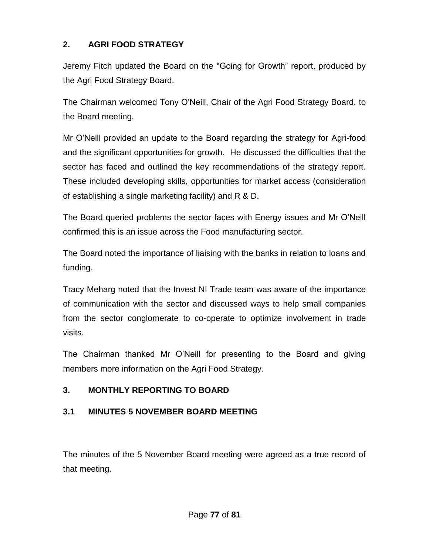# **2. AGRI FOOD STRATEGY**

Jeremy Fitch updated the Board on the "Going for Growth" report, produced by the Agri Food Strategy Board.

The Chairman welcomed Tony O'Neill, Chair of the Agri Food Strategy Board, to the Board meeting.

Mr O'Neill provided an update to the Board regarding the strategy for Agri-food and the significant opportunities for growth. He discussed the difficulties that the sector has faced and outlined the key recommendations of the strategy report. These included developing skills, opportunities for market access (consideration of establishing a single marketing facility) and R & D.

The Board queried problems the sector faces with Energy issues and Mr O'Neill confirmed this is an issue across the Food manufacturing sector.

The Board noted the importance of liaising with the banks in relation to loans and funding.

Tracy Meharg noted that the Invest NI Trade team was aware of the importance of communication with the sector and discussed ways to help small companies from the sector conglomerate to co-operate to optimize involvement in trade visits.

The Chairman thanked Mr O'Neill for presenting to the Board and giving members more information on the Agri Food Strategy.

# **3. MONTHLY REPORTING TO BOARD**

# **3.1 MINUTES 5 NOVEMBER BOARD MEETING**

The minutes of the 5 November Board meeting were agreed as a true record of that meeting.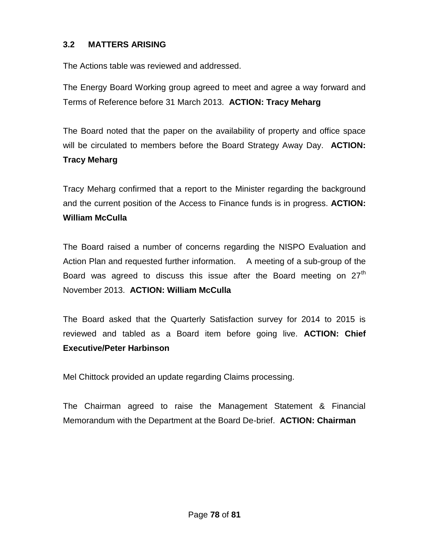## **3.2 MATTERS ARISING**

The Actions table was reviewed and addressed.

The Energy Board Working group agreed to meet and agree a way forward and Terms of Reference before 31 March 2013. **ACTION: Tracy Meharg**

The Board noted that the paper on the availability of property and office space will be circulated to members before the Board Strategy Away Day. **ACTION: Tracy Meharg**

Tracy Meharg confirmed that a report to the Minister regarding the background and the current position of the Access to Finance funds is in progress. **ACTION: William McCulla**

The Board raised a number of concerns regarding the NISPO Evaluation and Action Plan and requested further information. A meeting of a sub-group of the Board was agreed to discuss this issue after the Board meeting on  $27<sup>th</sup>$ November 2013. **ACTION: William McCulla**

The Board asked that the Quarterly Satisfaction survey for 2014 to 2015 is reviewed and tabled as a Board item before going live. **ACTION: Chief Executive/Peter Harbinson**

Mel Chittock provided an update regarding Claims processing.

The Chairman agreed to raise the Management Statement & Financial Memorandum with the Department at the Board De-brief. **ACTION: Chairman**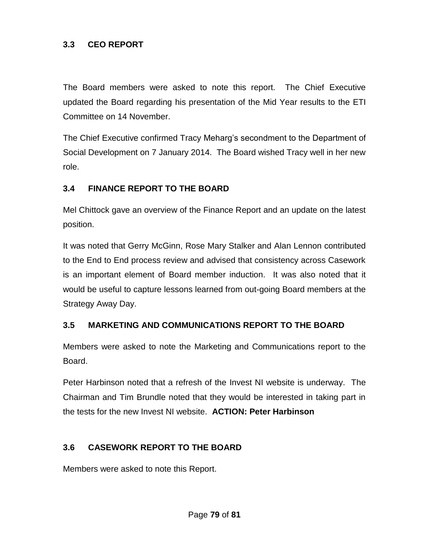### **3.3 CEO REPORT**

The Board members were asked to note this report. The Chief Executive updated the Board regarding his presentation of the Mid Year results to the ETI Committee on 14 November.

The Chief Executive confirmed Tracy Meharg's secondment to the Department of Social Development on 7 January 2014. The Board wished Tracy well in her new role.

## **3.4 FINANCE REPORT TO THE BOARD**

Mel Chittock gave an overview of the Finance Report and an update on the latest position.

It was noted that Gerry McGinn, Rose Mary Stalker and Alan Lennon contributed to the End to End process review and advised that consistency across Casework is an important element of Board member induction. It was also noted that it would be useful to capture lessons learned from out-going Board members at the Strategy Away Day.

#### **3.5 MARKETING AND COMMUNICATIONS REPORT TO THE BOARD**

Members were asked to note the Marketing and Communications report to the Board.

Peter Harbinson noted that a refresh of the Invest NI website is underway. The Chairman and Tim Brundle noted that they would be interested in taking part in the tests for the new Invest NI website. **ACTION: Peter Harbinson**

# **3.6 CASEWORK REPORT TO THE BOARD**

Members were asked to note this Report.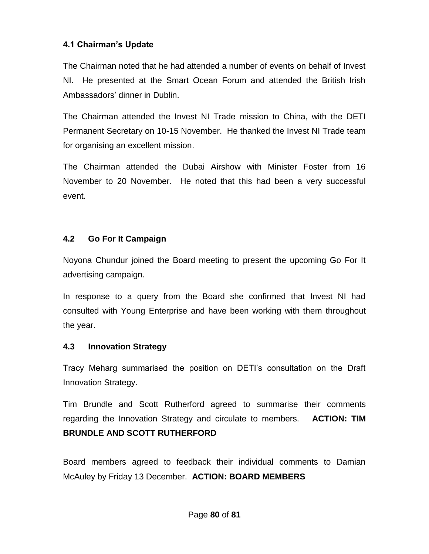## **4.1 Chairman's Update**

The Chairman noted that he had attended a number of events on behalf of Invest NI. He presented at the Smart Ocean Forum and attended the British Irish Ambassadors' dinner in Dublin.

The Chairman attended the Invest NI Trade mission to China, with the DETI Permanent Secretary on 10-15 November. He thanked the Invest NI Trade team for organising an excellent mission.

The Chairman attended the Dubai Airshow with Minister Foster from 16 November to 20 November. He noted that this had been a very successful event.

# **4.2 Go For It Campaign**

Noyona Chundur joined the Board meeting to present the upcoming Go For It advertising campaign.

In response to a query from the Board she confirmed that Invest NI had consulted with Young Enterprise and have been working with them throughout the year.

#### **4.3 Innovation Strategy**

Tracy Meharg summarised the position on DETI's consultation on the Draft Innovation Strategy.

Tim Brundle and Scott Rutherford agreed to summarise their comments regarding the Innovation Strategy and circulate to members. **ACTION: TIM BRUNDLE AND SCOTT RUTHERFORD**

Board members agreed to feedback their individual comments to Damian McAuley by Friday 13 December. **ACTION: BOARD MEMBERS**